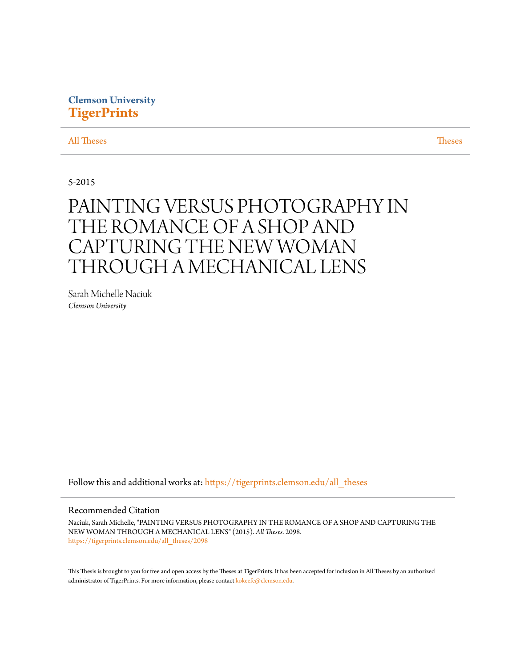# **Clemson University [TigerPrints](https://tigerprints.clemson.edu?utm_source=tigerprints.clemson.edu%2Fall_theses%2F2098&utm_medium=PDF&utm_campaign=PDFCoverPages)**

[All Theses](https://tigerprints.clemson.edu/all_theses?utm_source=tigerprints.clemson.edu%2Fall_theses%2F2098&utm_medium=PDF&utm_campaign=PDFCoverPages) **[Theses](https://tigerprints.clemson.edu/theses?utm_source=tigerprints.clemson.edu%2Fall_theses%2F2098&utm_medium=PDF&utm_campaign=PDFCoverPages)** 

5-2015

# PAINTING VERSUS PHOTOGRAPHY IN THE ROMANCE OF A SHOP AND CAPTURING THE NEW WOMAN THROUGH A MECHANICAL LENS

Sarah Michelle Naciuk *Clemson University*

Follow this and additional works at: [https://tigerprints.clemson.edu/all\\_theses](https://tigerprints.clemson.edu/all_theses?utm_source=tigerprints.clemson.edu%2Fall_theses%2F2098&utm_medium=PDF&utm_campaign=PDFCoverPages)

#### Recommended Citation

Naciuk, Sarah Michelle, "PAINTING VERSUS PHOTOGRAPHY IN THE ROMANCE OF A SHOP AND CAPTURING THE NEW WOMAN THROUGH A MECHANICAL LENS" (2015). *All Theses*. 2098. [https://tigerprints.clemson.edu/all\\_theses/2098](https://tigerprints.clemson.edu/all_theses/2098?utm_source=tigerprints.clemson.edu%2Fall_theses%2F2098&utm_medium=PDF&utm_campaign=PDFCoverPages)

This Thesis is brought to you for free and open access by the Theses at TigerPrints. It has been accepted for inclusion in All Theses by an authorized administrator of TigerPrints. For more information, please contact [kokeefe@clemson.edu](mailto:kokeefe@clemson.edu).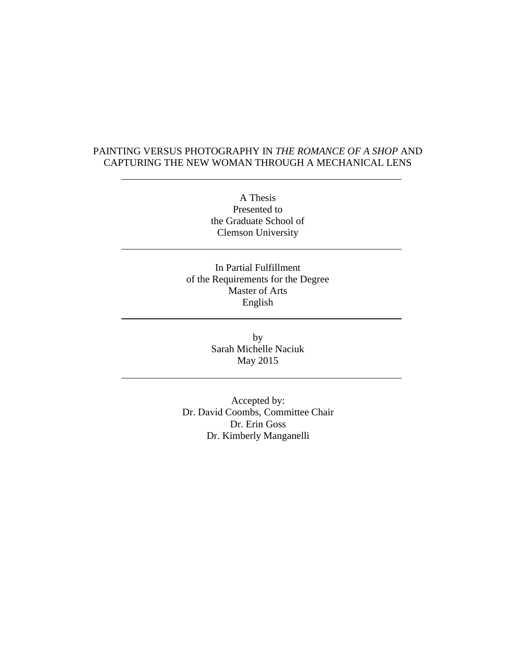## PAINTING VERSUS PHOTOGRAPHY IN *THE ROMANCE OF A SHOP* AND CAPTURING THE NEW WOMAN THROUGH A MECHANICAL LENS

A Thesis Presented to the Graduate School of Clemson University

In Partial Fulfillment of the Requirements for the Degree Master of Arts English

> by Sarah Michelle Naciuk May 2015

Accepted by: Dr. David Coombs, Committee Chair Dr. Erin Goss Dr. Kimberly Manganelli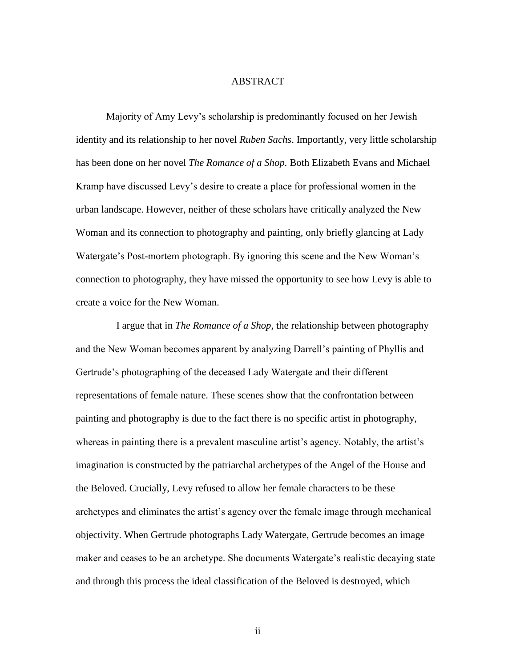#### ABSTRACT

Majority of Amy Levy's scholarship is predominantly focused on her Jewish identity and its relationship to her novel *Ruben Sachs*. Importantly, very little scholarship has been done on her novel *The Romance of a Shop.* Both Elizabeth Evans and Michael Kramp have discussed Levy's desire to create a place for professional women in the urban landscape. However, neither of these scholars have critically analyzed the New Woman and its connection to photography and painting, only briefly glancing at Lady Watergate's Post-mortem photograph. By ignoring this scene and the New Woman's connection to photography, they have missed the opportunity to see how Levy is able to create a voice for the New Woman.

 I argue that in *The Romance of a Shop,* the relationship between photography and the New Woman becomes apparent by analyzing Darrell's painting of Phyllis and Gertrude's photographing of the deceased Lady Watergate and their different representations of female nature. These scenes show that the confrontation between painting and photography is due to the fact there is no specific artist in photography, whereas in painting there is a prevalent masculine artist's agency. Notably, the artist's imagination is constructed by the patriarchal archetypes of the Angel of the House and the Beloved. Crucially, Levy refused to allow her female characters to be these archetypes and eliminates the artist's agency over the female image through mechanical objectivity. When Gertrude photographs Lady Watergate, Gertrude becomes an image maker and ceases to be an archetype. She documents Watergate's realistic decaying state and through this process the ideal classification of the Beloved is destroyed, which

ii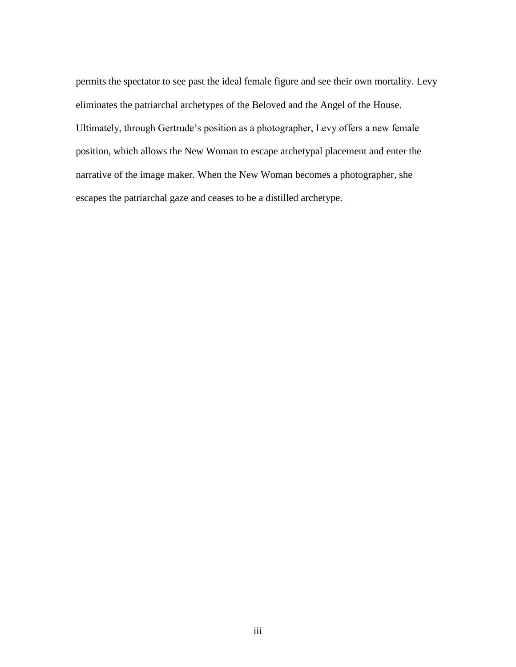permits the spectator to see past the ideal female figure and see their own mortality. Levy eliminates the patriarchal archetypes of the Beloved and the Angel of the House. Ultimately, through Gertrude's position as a photographer, Levy offers a new female position, which allows the New Woman to escape archetypal placement and enter the narrative of the image maker. When the New Woman becomes a photographer, she escapes the patriarchal gaze and ceases to be a distilled archetype.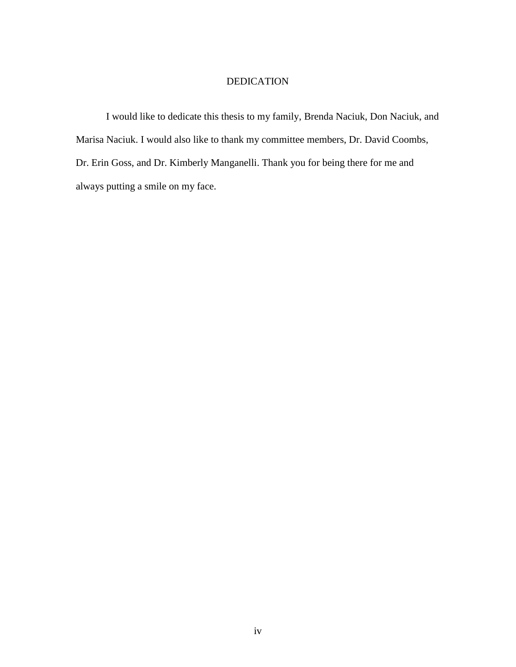# DEDICATION

I would like to dedicate this thesis to my family, Brenda Naciuk, Don Naciuk, and Marisa Naciuk. I would also like to thank my committee members, Dr. David Coombs, Dr. Erin Goss, and Dr. Kimberly Manganelli. Thank you for being there for me and always putting a smile on my face.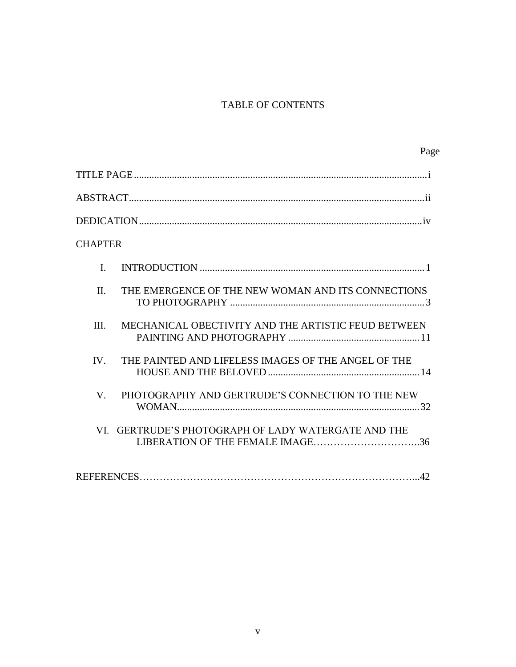# TABLE OF CONTENTS

| Page                                                                                    |
|-----------------------------------------------------------------------------------------|
|                                                                                         |
|                                                                                         |
|                                                                                         |
| <b>CHAPTER</b>                                                                          |
| $\mathbf{I}$                                                                            |
| $\Pi$ .<br>THE EMERGENCE OF THE NEW WOMAN AND ITS CONNECTIONS                           |
| MECHANICAL OBECTIVITY AND THE ARTISTIC FEUD BETWEEN<br>III.                             |
| IV.<br>THE PAINTED AND LIFELESS IMAGES OF THE ANGEL OF THE                              |
| PHOTOGRAPHY AND GERTRUDE'S CONNECTION TO THE NEW<br>V                                   |
| VI. GERTRUDE'S PHOTOGRAPH OF LADY WATERGATE AND THE<br>LIBERATION OF THE FEMALE IMAGE36 |
|                                                                                         |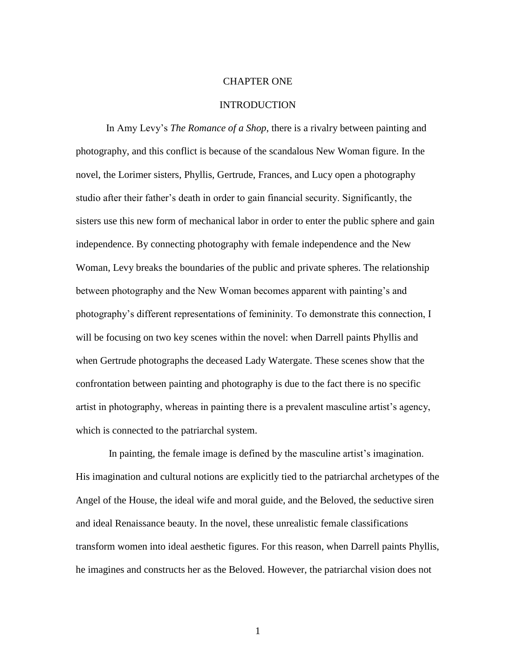#### CHAPTER ONE

#### INTRODUCTION

In Amy Levy's *The Romance of a Shop*, there is a rivalry between painting and photography, and this conflict is because of the scandalous New Woman figure. In the novel, the Lorimer sisters, Phyllis, Gertrude, Frances, and Lucy open a photography studio after their father's death in order to gain financial security. Significantly, the sisters use this new form of mechanical labor in order to enter the public sphere and gain independence. By connecting photography with female independence and the New Woman, Levy breaks the boundaries of the public and private spheres. The relationship between photography and the New Woman becomes apparent with painting's and photography's different representations of femininity. To demonstrate this connection, I will be focusing on two key scenes within the novel: when Darrell paints Phyllis and when Gertrude photographs the deceased Lady Watergate. These scenes show that the confrontation between painting and photography is due to the fact there is no specific artist in photography, whereas in painting there is a prevalent masculine artist's agency, which is connected to the patriarchal system.

 In painting, the female image is defined by the masculine artist's imagination. His imagination and cultural notions are explicitly tied to the patriarchal archetypes of the Angel of the House, the ideal wife and moral guide, and the Beloved, the seductive siren and ideal Renaissance beauty. In the novel, these unrealistic female classifications transform women into ideal aesthetic figures. For this reason, when Darrell paints Phyllis, he imagines and constructs her as the Beloved. However, the patriarchal vision does not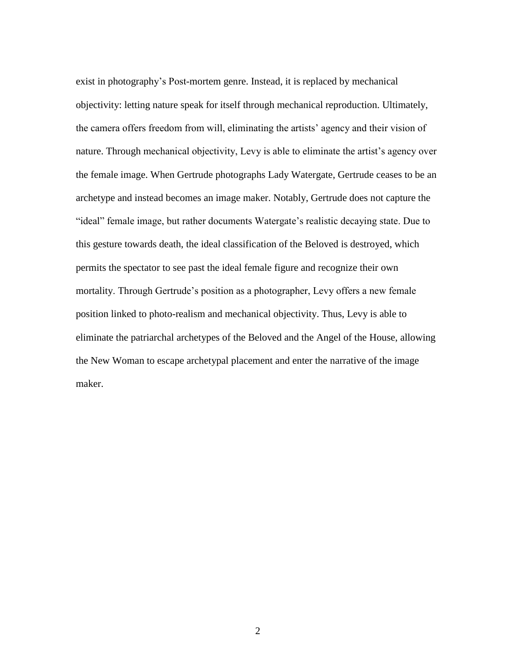exist in photography's Post-mortem genre. Instead, it is replaced by mechanical objectivity: letting nature speak for itself through mechanical reproduction. Ultimately, the camera offers freedom from will, eliminating the artists' agency and their vision of nature. Through mechanical objectivity, Levy is able to eliminate the artist's agency over the female image. When Gertrude photographs Lady Watergate, Gertrude ceases to be an archetype and instead becomes an image maker. Notably, Gertrude does not capture the "ideal" female image, but rather documents Watergate's realistic decaying state. Due to this gesture towards death, the ideal classification of the Beloved is destroyed, which permits the spectator to see past the ideal female figure and recognize their own mortality. Through Gertrude's position as a photographer, Levy offers a new female position linked to photo-realism and mechanical objectivity. Thus, Levy is able to eliminate the patriarchal archetypes of the Beloved and the Angel of the House, allowing the New Woman to escape archetypal placement and enter the narrative of the image maker.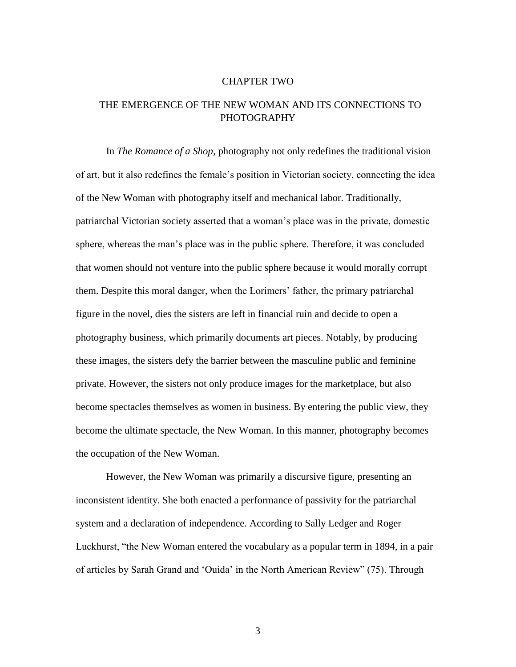#### CHAPTER TWO

# THE EMERGENCE OF THE NEW WOMAN AND ITS CONNECTIONS TO **PHOTOGRAPHY**

In *The Romance of a Shop*, photography not only redefines the traditional vision of art, but it also redefines the female's position in Victorian society, connecting the idea of the New Woman with photography itself and mechanical labor. Traditionally, patriarchal Victorian society asserted that a woman's place was in the private, domestic sphere, whereas the man's place was in the public sphere. Therefore, it was concluded that women should not venture into the public sphere because it would morally corrupt them. Despite this moral danger, when the Lorimers' father, the primary patriarchal figure in the novel, dies the sisters are left in financial ruin and decide to open a photography business, which primarily documents art pieces. Notably, by producing these images, the sisters defy the barrier between the masculine public and feminine private. However, the sisters not only produce images for the marketplace, but also become spectacles themselves as women in business. By entering the public view, they become the ultimate spectacle, the New Woman. In this manner, photography becomes the occupation of the New Woman.

However, the New Woman was primarily a discursive figure, presenting an inconsistent identity. She both enacted a performance of passivity for the patriarchal system and a declaration of independence. According to Sally Ledger and Roger Luckhurst, "the New Woman entered the vocabulary as a popular term in 1894, in a pair of articles by Sarah Grand and 'Ouida' in the North American Review" (75). Through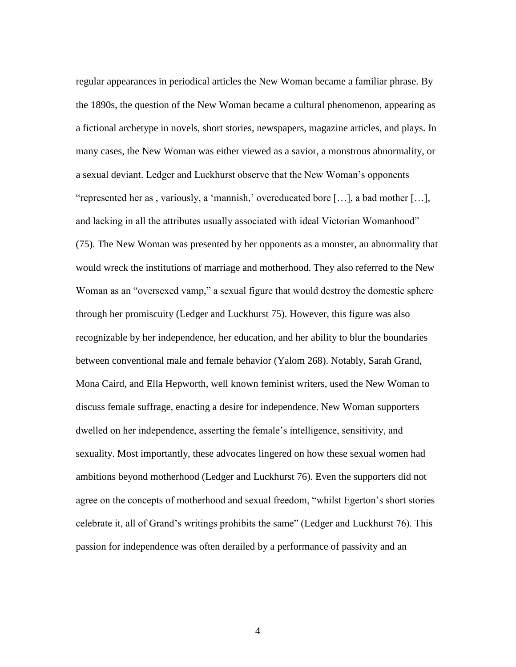regular appearances in periodical articles the New Woman became a familiar phrase. By the 1890s, the question of the New Woman became a cultural phenomenon, appearing as a fictional archetype in novels, short stories, newspapers, magazine articles, and plays. In many cases, the New Woman was either viewed as a savior, a monstrous abnormality, or a sexual deviant. Ledger and Luckhurst observe that the New Woman's opponents "represented her as , variously, a 'mannish,' overeducated bore […], a bad mother […], and lacking in all the attributes usually associated with ideal Victorian Womanhood" (75). The New Woman was presented by her opponents as a monster, an abnormality that would wreck the institutions of marriage and motherhood. They also referred to the New Woman as an "oversexed vamp," a sexual figure that would destroy the domestic sphere through her promiscuity (Ledger and Luckhurst 75). However, this figure was also recognizable by her independence, her education, and her ability to blur the boundaries between conventional male and female behavior (Yalom 268). Notably, Sarah Grand, Mona Caird, and Ella Hepworth, well known feminist writers, used the New Woman to discuss female suffrage, enacting a desire for independence. New Woman supporters dwelled on her independence, asserting the female's intelligence, sensitivity, and sexuality. Most importantly, these advocates lingered on how these sexual women had ambitions beyond motherhood (Ledger and Luckhurst 76). Even the supporters did not agree on the concepts of motherhood and sexual freedom, "whilst Egerton's short stories celebrate it, all of Grand's writings prohibits the same" (Ledger and Luckhurst 76). This passion for independence was often derailed by a performance of passivity and an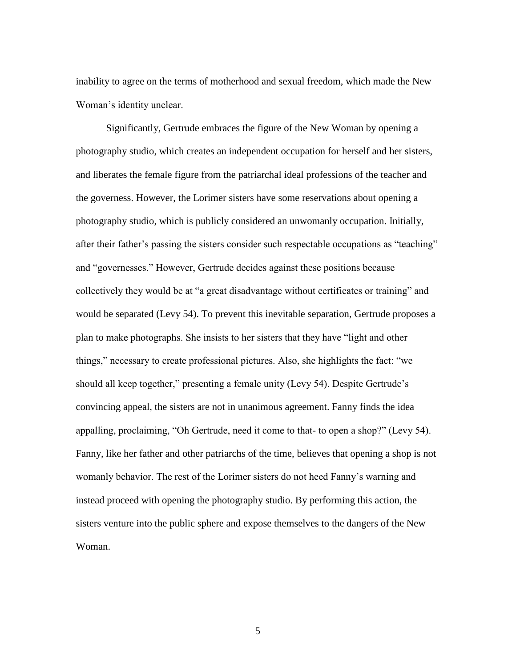inability to agree on the terms of motherhood and sexual freedom, which made the New Woman's identity unclear.

Significantly, Gertrude embraces the figure of the New Woman by opening a photography studio, which creates an independent occupation for herself and her sisters, and liberates the female figure from the patriarchal ideal professions of the teacher and the governess. However, the Lorimer sisters have some reservations about opening a photography studio, which is publicly considered an unwomanly occupation. Initially, after their father's passing the sisters consider such respectable occupations as "teaching" and "governesses." However, Gertrude decides against these positions because collectively they would be at "a great disadvantage without certificates or training" and would be separated (Levy 54). To prevent this inevitable separation, Gertrude proposes a plan to make photographs. She insists to her sisters that they have "light and other things," necessary to create professional pictures. Also, she highlights the fact: "we should all keep together," presenting a female unity (Levy 54). Despite Gertrude's convincing appeal, the sisters are not in unanimous agreement. Fanny finds the idea appalling, proclaiming, "Oh Gertrude, need it come to that- to open a shop?" (Levy 54). Fanny, like her father and other patriarchs of the time, believes that opening a shop is not womanly behavior. The rest of the Lorimer sisters do not heed Fanny's warning and instead proceed with opening the photography studio. By performing this action, the sisters venture into the public sphere and expose themselves to the dangers of the New Woman.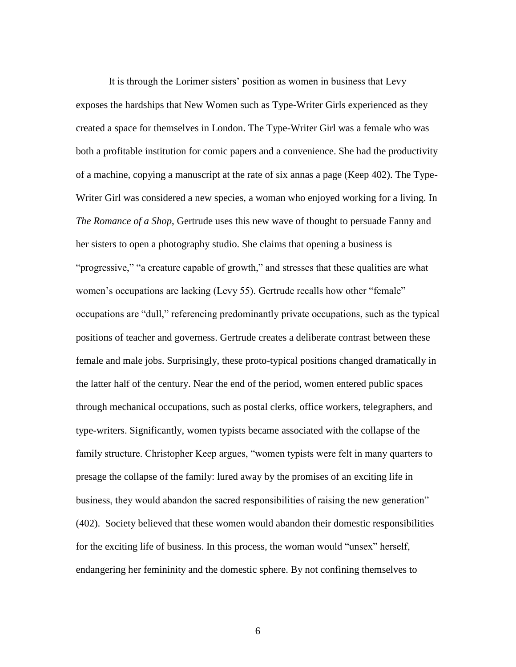It is through the Lorimer sisters' position as women in business that Levy exposes the hardships that New Women such as Type-Writer Girls experienced as they created a space for themselves in London. The Type-Writer Girl was a female who was both a profitable institution for comic papers and a convenience. She had the productivity of a machine, copying a manuscript at the rate of six annas a page (Keep 402). The Type-Writer Girl was considered a new species, a woman who enjoyed working for a living. In *The Romance of a Shop*, Gertrude uses this new wave of thought to persuade Fanny and her sisters to open a photography studio. She claims that opening a business is "progressive," "a creature capable of growth," and stresses that these qualities are what women's occupations are lacking (Levy 55). Gertrude recalls how other "female" occupations are "dull," referencing predominantly private occupations, such as the typical positions of teacher and governess. Gertrude creates a deliberate contrast between these female and male jobs. Surprisingly, these proto-typical positions changed dramatically in the latter half of the century. Near the end of the period, women entered public spaces through mechanical occupations, such as postal clerks, office workers, telegraphers, and type-writers. Significantly, women typists became associated with the collapse of the family structure. Christopher Keep argues, "women typists were felt in many quarters to presage the collapse of the family: lured away by the promises of an exciting life in business, they would abandon the sacred responsibilities of raising the new generation" (402). Society believed that these women would abandon their domestic responsibilities for the exciting life of business. In this process, the woman would "unsex" herself, endangering her femininity and the domestic sphere. By not confining themselves to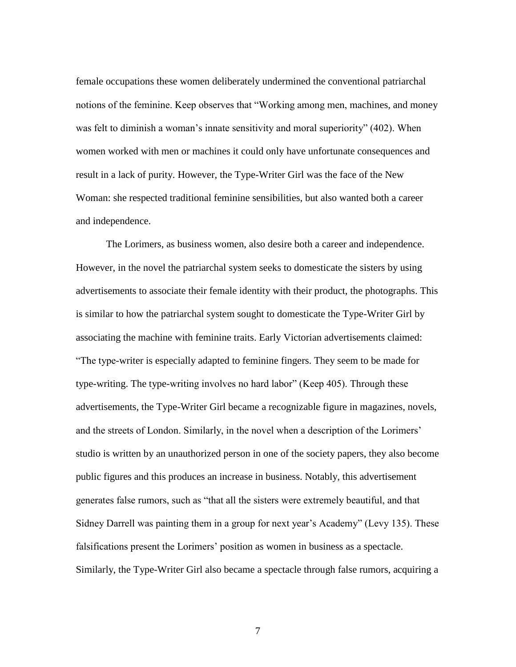female occupations these women deliberately undermined the conventional patriarchal notions of the feminine. Keep observes that "Working among men, machines, and money was felt to diminish a woman's innate sensitivity and moral superiority" (402). When women worked with men or machines it could only have unfortunate consequences and result in a lack of purity. However, the Type-Writer Girl was the face of the New Woman: she respected traditional feminine sensibilities, but also wanted both a career and independence.

The Lorimers, as business women, also desire both a career and independence. However, in the novel the patriarchal system seeks to domesticate the sisters by using advertisements to associate their female identity with their product, the photographs. This is similar to how the patriarchal system sought to domesticate the Type-Writer Girl by associating the machine with feminine traits. Early Victorian advertisements claimed: "The type-writer is especially adapted to feminine fingers. They seem to be made for type-writing. The type-writing involves no hard labor" (Keep 405). Through these advertisements, the Type-Writer Girl became a recognizable figure in magazines, novels, and the streets of London. Similarly, in the novel when a description of the Lorimers' studio is written by an unauthorized person in one of the society papers, they also become public figures and this produces an increase in business. Notably, this advertisement generates false rumors, such as "that all the sisters were extremely beautiful, and that Sidney Darrell was painting them in a group for next year's Academy" (Levy 135). These falsifications present the Lorimers' position as women in business as a spectacle. Similarly, the Type-Writer Girl also became a spectacle through false rumors, acquiring a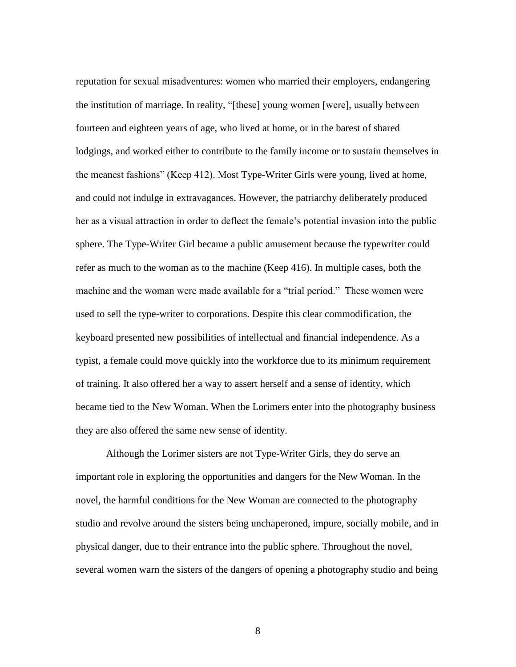reputation for sexual misadventures: women who married their employers, endangering the institution of marriage. In reality, "[these] young women [were], usually between fourteen and eighteen years of age, who lived at home, or in the barest of shared lodgings, and worked either to contribute to the family income or to sustain themselves in the meanest fashions" (Keep 412). Most Type-Writer Girls were young, lived at home, and could not indulge in extravagances. However, the patriarchy deliberately produced her as a visual attraction in order to deflect the female's potential invasion into the public sphere. The Type-Writer Girl became a public amusement because the typewriter could refer as much to the woman as to the machine (Keep 416). In multiple cases, both the machine and the woman were made available for a "trial period." These women were used to sell the type-writer to corporations. Despite this clear commodification, the keyboard presented new possibilities of intellectual and financial independence. As a typist, a female could move quickly into the workforce due to its minimum requirement of training. It also offered her a way to assert herself and a sense of identity, which became tied to the New Woman. When the Lorimers enter into the photography business they are also offered the same new sense of identity.

Although the Lorimer sisters are not Type-Writer Girls, they do serve an important role in exploring the opportunities and dangers for the New Woman. In the novel, the harmful conditions for the New Woman are connected to the photography studio and revolve around the sisters being unchaperoned, impure, socially mobile, and in physical danger, due to their entrance into the public sphere. Throughout the novel, several women warn the sisters of the dangers of opening a photography studio and being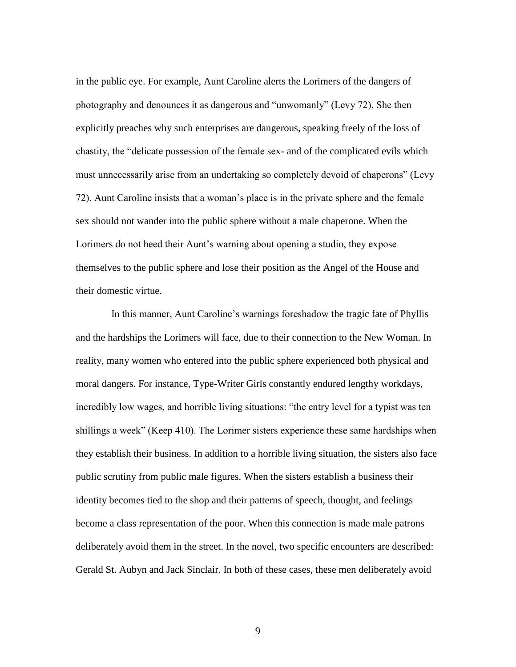in the public eye. For example, Aunt Caroline alerts the Lorimers of the dangers of photography and denounces it as dangerous and "unwomanly" (Levy 72). She then explicitly preaches why such enterprises are dangerous, speaking freely of the loss of chastity, the "delicate possession of the female sex- and of the complicated evils which must unnecessarily arise from an undertaking so completely devoid of chaperons" (Levy 72). Aunt Caroline insists that a woman's place is in the private sphere and the female sex should not wander into the public sphere without a male chaperone. When the Lorimers do not heed their Aunt's warning about opening a studio, they expose themselves to the public sphere and lose their position as the Angel of the House and their domestic virtue.

 In this manner, Aunt Caroline's warnings foreshadow the tragic fate of Phyllis and the hardships the Lorimers will face, due to their connection to the New Woman. In reality, many women who entered into the public sphere experienced both physical and moral dangers. For instance, Type-Writer Girls constantly endured lengthy workdays, incredibly low wages, and horrible living situations: "the entry level for a typist was ten shillings a week" (Keep 410). The Lorimer sisters experience these same hardships when they establish their business. In addition to a horrible living situation, the sisters also face public scrutiny from public male figures. When the sisters establish a business their identity becomes tied to the shop and their patterns of speech, thought, and feelings become a class representation of the poor. When this connection is made male patrons deliberately avoid them in the street. In the novel, two specific encounters are described: Gerald St. Aubyn and Jack Sinclair. In both of these cases, these men deliberately avoid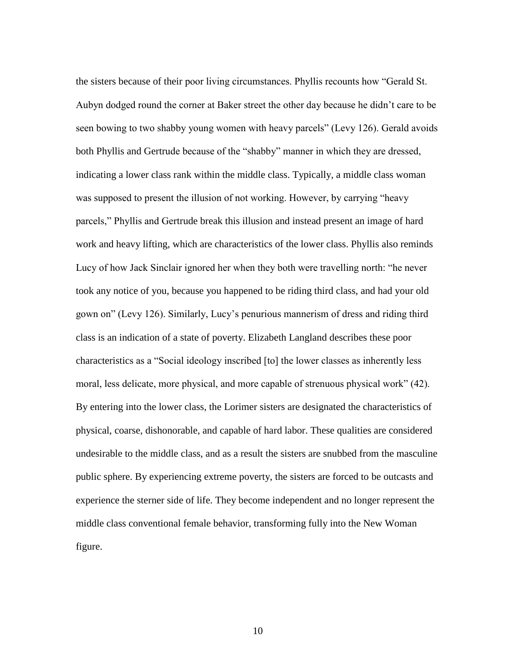the sisters because of their poor living circumstances. Phyllis recounts how "Gerald St. Aubyn dodged round the corner at Baker street the other day because he didn't care to be seen bowing to two shabby young women with heavy parcels" (Levy 126). Gerald avoids both Phyllis and Gertrude because of the "shabby" manner in which they are dressed, indicating a lower class rank within the middle class. Typically, a middle class woman was supposed to present the illusion of not working. However, by carrying "heavy parcels," Phyllis and Gertrude break this illusion and instead present an image of hard work and heavy lifting, which are characteristics of the lower class. Phyllis also reminds Lucy of how Jack Sinclair ignored her when they both were travelling north: "he never took any notice of you, because you happened to be riding third class, and had your old gown on" (Levy 126). Similarly, Lucy's penurious mannerism of dress and riding third class is an indication of a state of poverty. Elizabeth Langland describes these poor characteristics as a "Social ideology inscribed [to] the lower classes as inherently less moral, less delicate, more physical, and more capable of strenuous physical work" (42). By entering into the lower class, the Lorimer sisters are designated the characteristics of physical, coarse, dishonorable, and capable of hard labor. These qualities are considered undesirable to the middle class, and as a result the sisters are snubbed from the masculine public sphere. By experiencing extreme poverty, the sisters are forced to be outcasts and experience the sterner side of life. They become independent and no longer represent the middle class conventional female behavior, transforming fully into the New Woman figure.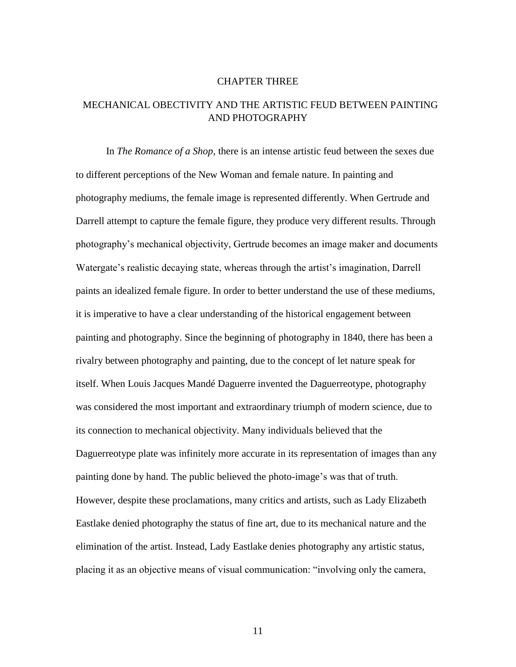#### CHAPTER THREE

# MECHANICAL OBECTIVITY AND THE ARTISTIC FEUD BETWEEN PAINTING AND PHOTOGRAPHY

In *The Romance of a Shop*, there is an intense artistic feud between the sexes due to different perceptions of the New Woman and female nature. In painting and photography mediums, the female image is represented differently. When Gertrude and Darrell attempt to capture the female figure, they produce very different results. Through photography's mechanical objectivity, Gertrude becomes an image maker and documents Watergate's realistic decaying state, whereas through the artist's imagination, Darrell paints an idealized female figure. In order to better understand the use of these mediums, it is imperative to have a clear understanding of the historical engagement between painting and photography. Since the beginning of photography in 1840, there has been a rivalry between photography and painting, due to the concept of let nature speak for itself. When Louis Jacques Mandé Daguerre invented the Daguerreotype, photography was considered the most important and extraordinary triumph of modern science, due to its connection to mechanical objectivity. Many individuals believed that the Daguerreotype plate was infinitely more accurate in its representation of images than any painting done by hand. The public believed the photo-image's was that of truth. However, despite these proclamations, many critics and artists, such as Lady Elizabeth Eastlake denied photography the status of fine art, due to its mechanical nature and the elimination of the artist. Instead, Lady Eastlake denies photography any artistic status, placing it as an objective means of visual communication: "involving only the camera,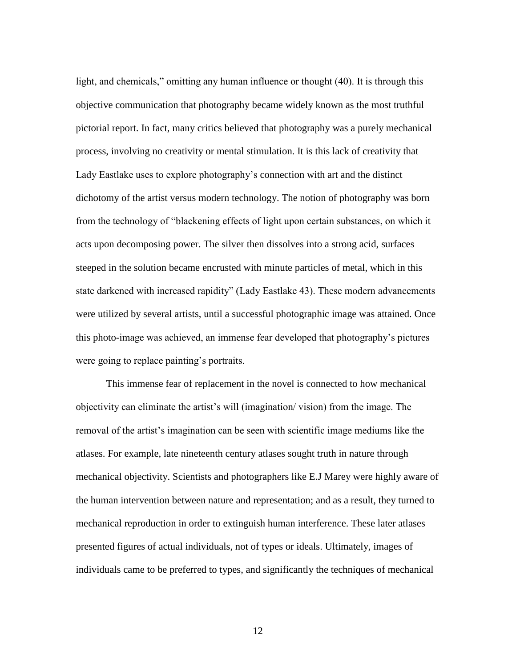light, and chemicals," omitting any human influence or thought (40). It is through this objective communication that photography became widely known as the most truthful pictorial report. In fact, many critics believed that photography was a purely mechanical process, involving no creativity or mental stimulation. It is this lack of creativity that Lady Eastlake uses to explore photography's connection with art and the distinct dichotomy of the artist versus modern technology. The notion of photography was born from the technology of "blackening effects of light upon certain substances, on which it acts upon decomposing power. The silver then dissolves into a strong acid, surfaces steeped in the solution became encrusted with minute particles of metal, which in this state darkened with increased rapidity" (Lady Eastlake 43). These modern advancements were utilized by several artists, until a successful photographic image was attained. Once this photo-image was achieved, an immense fear developed that photography's pictures were going to replace painting's portraits.

This immense fear of replacement in the novel is connected to how mechanical objectivity can eliminate the artist's will (imagination/ vision) from the image. The removal of the artist's imagination can be seen with scientific image mediums like the atlases. For example, late nineteenth century atlases sought truth in nature through mechanical objectivity. Scientists and photographers like E.J Marey were highly aware of the human intervention between nature and representation; and as a result, they turned to mechanical reproduction in order to extinguish human interference. These later atlases presented figures of actual individuals, not of types or ideals. Ultimately, images of individuals came to be preferred to types, and significantly the techniques of mechanical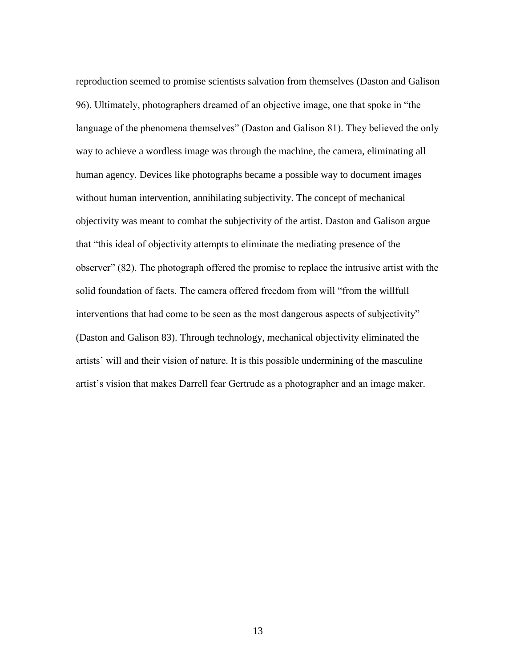reproduction seemed to promise scientists salvation from themselves (Daston and Galison 96). Ultimately, photographers dreamed of an objective image, one that spoke in "the language of the phenomena themselves" (Daston and Galison 81). They believed the only way to achieve a wordless image was through the machine, the camera, eliminating all human agency. Devices like photographs became a possible way to document images without human intervention, annihilating subjectivity. The concept of mechanical objectivity was meant to combat the subjectivity of the artist. Daston and Galison argue that "this ideal of objectivity attempts to eliminate the mediating presence of the observer" (82). The photograph offered the promise to replace the intrusive artist with the solid foundation of facts. The camera offered freedom from will "from the willfull interventions that had come to be seen as the most dangerous aspects of subjectivity" (Daston and Galison 83). Through technology, mechanical objectivity eliminated the artists' will and their vision of nature. It is this possible undermining of the masculine artist's vision that makes Darrell fear Gertrude as a photographer and an image maker.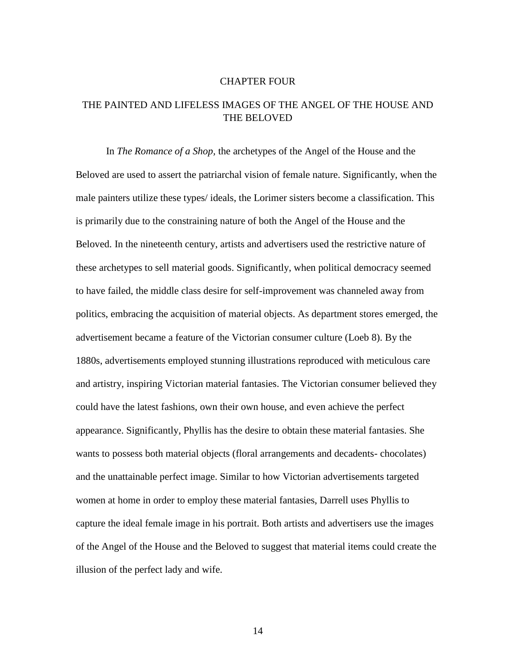#### CHAPTER FOUR

## THE PAINTED AND LIFELESS IMAGES OF THE ANGEL OF THE HOUSE AND THE BELOVED

In *The Romance of a Shop,* the archetypes of the Angel of the House and the Beloved are used to assert the patriarchal vision of female nature. Significantly, when the male painters utilize these types/ ideals, the Lorimer sisters become a classification. This is primarily due to the constraining nature of both the Angel of the House and the Beloved. In the nineteenth century, artists and advertisers used the restrictive nature of these archetypes to sell material goods. Significantly, when political democracy seemed to have failed, the middle class desire for self-improvement was channeled away from politics, embracing the acquisition of material objects. As department stores emerged, the advertisement became a feature of the Victorian consumer culture (Loeb 8). By the 1880s, advertisements employed stunning illustrations reproduced with meticulous care and artistry, inspiring Victorian material fantasies. The Victorian consumer believed they could have the latest fashions, own their own house, and even achieve the perfect appearance. Significantly, Phyllis has the desire to obtain these material fantasies. She wants to possess both material objects (floral arrangements and decadents- chocolates) and the unattainable perfect image. Similar to how Victorian advertisements targeted women at home in order to employ these material fantasies, Darrell uses Phyllis to capture the ideal female image in his portrait. Both artists and advertisers use the images of the Angel of the House and the Beloved to suggest that material items could create the illusion of the perfect lady and wife.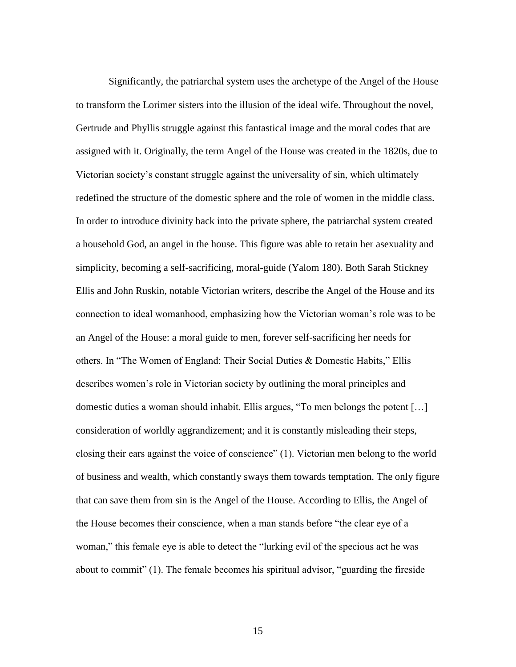Significantly, the patriarchal system uses the archetype of the Angel of the House to transform the Lorimer sisters into the illusion of the ideal wife. Throughout the novel, Gertrude and Phyllis struggle against this fantastical image and the moral codes that are assigned with it. Originally, the term Angel of the House was created in the 1820s, due to Victorian society's constant struggle against the universality of sin, which ultimately redefined the structure of the domestic sphere and the role of women in the middle class. In order to introduce divinity back into the private sphere, the patriarchal system created a household God, an angel in the house. This figure was able to retain her asexuality and simplicity, becoming a self-sacrificing, moral-guide (Yalom 180). Both Sarah Stickney Ellis and John Ruskin, notable Victorian writers, describe the Angel of the House and its connection to ideal womanhood, emphasizing how the Victorian woman's role was to be an Angel of the House: a moral guide to men, forever self-sacrificing her needs for others. In "The Women of England: Their Social Duties & Domestic Habits," Ellis describes women's role in Victorian society by outlining the moral principles and domestic duties a woman should inhabit. Ellis argues, "To men belongs the potent […] consideration of worldly aggrandizement; and it is constantly misleading their steps, closing their ears against the voice of conscience" (1). Victorian men belong to the world of business and wealth, which constantly sways them towards temptation. The only figure that can save them from sin is the Angel of the House. According to Ellis, the Angel of the House becomes their conscience, when a man stands before "the clear eye of a woman," this female eye is able to detect the "lurking evil of the specious act he was about to commit" (1). The female becomes his spiritual advisor, "guarding the fireside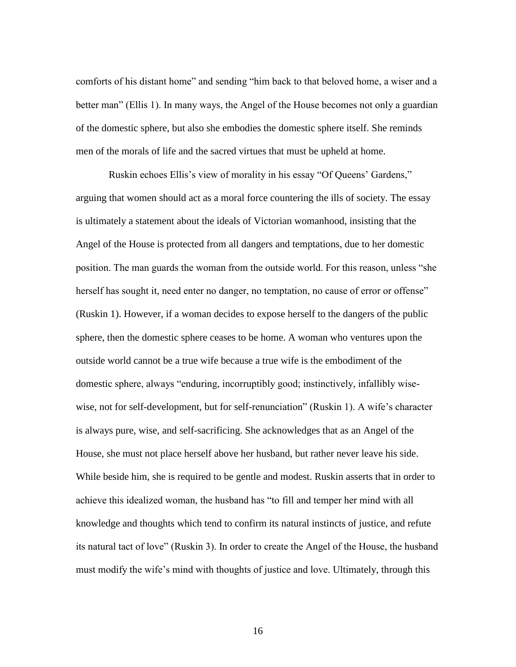comforts of his distant home" and sending "him back to that beloved home, a wiser and a better man" (Ellis 1). In many ways, the Angel of the House becomes not only a guardian of the domestic sphere, but also she embodies the domestic sphere itself. She reminds men of the morals of life and the sacred virtues that must be upheld at home.

Ruskin echoes Ellis's view of morality in his essay "Of Queens' Gardens," arguing that women should act as a moral force countering the ills of society. The essay is ultimately a statement about the ideals of Victorian womanhood, insisting that the Angel of the House is protected from all dangers and temptations, due to her domestic position. The man guards the woman from the outside world. For this reason, unless "she herself has sought it, need enter no danger, no temptation, no cause of error or offense" (Ruskin 1). However, if a woman decides to expose herself to the dangers of the public sphere, then the domestic sphere ceases to be home. A woman who ventures upon the outside world cannot be a true wife because a true wife is the embodiment of the domestic sphere, always "enduring, incorruptibly good; instinctively, infallibly wisewise, not for self-development, but for self-renunciation" (Ruskin 1). A wife's character is always pure, wise, and self-sacrificing. She acknowledges that as an Angel of the House, she must not place herself above her husband, but rather never leave his side. While beside him, she is required to be gentle and modest. Ruskin asserts that in order to achieve this idealized woman, the husband has "to fill and temper her mind with all knowledge and thoughts which tend to confirm its natural instincts of justice, and refute its natural tact of love" (Ruskin 3). In order to create the Angel of the House, the husband must modify the wife's mind with thoughts of justice and love. Ultimately, through this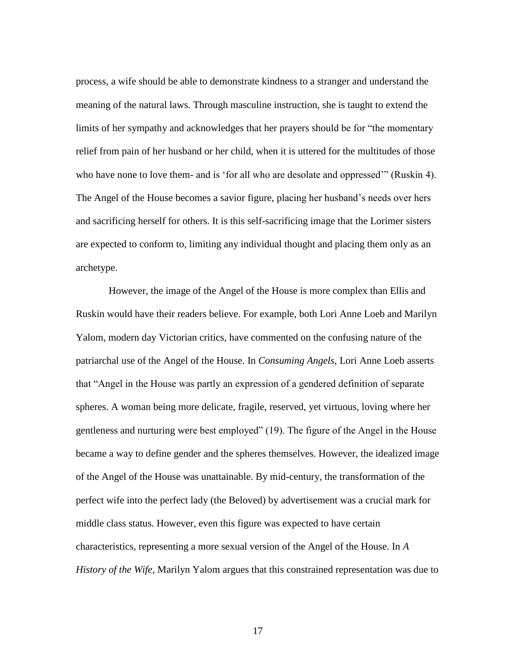process, a wife should be able to demonstrate kindness to a stranger and understand the meaning of the natural laws. Through masculine instruction, she is taught to extend the limits of her sympathy and acknowledges that her prayers should be for "the momentary relief from pain of her husband or her child, when it is uttered for the multitudes of those who have none to love them- and is 'for all who are desolate and oppressed'" (Ruskin 4). The Angel of the House becomes a savior figure, placing her husband's needs over hers and sacrificing herself for others. It is this self-sacrificing image that the Lorimer sisters are expected to conform to, limiting any individual thought and placing them only as an archetype.

However, the image of the Angel of the House is more complex than Ellis and Ruskin would have their readers believe. For example, both Lori Anne Loeb and Marilyn Yalom, modern day Victorian critics, have commented on the confusing nature of the patriarchal use of the Angel of the House. In *Consuming Angels*, Lori Anne Loeb asserts that "Angel in the House was partly an expression of a gendered definition of separate spheres. A woman being more delicate, fragile, reserved, yet virtuous, loving where her gentleness and nurturing were best employed" (19). The figure of the Angel in the House became a way to define gender and the spheres themselves. However, the idealized image of the Angel of the House was unattainable. By mid-century, the transformation of the perfect wife into the perfect lady (the Beloved) by advertisement was a crucial mark for middle class status. However, even this figure was expected to have certain characteristics, representing a more sexual version of the Angel of the House. In *A History of the Wife*, Marilyn Yalom argues that this constrained representation was due to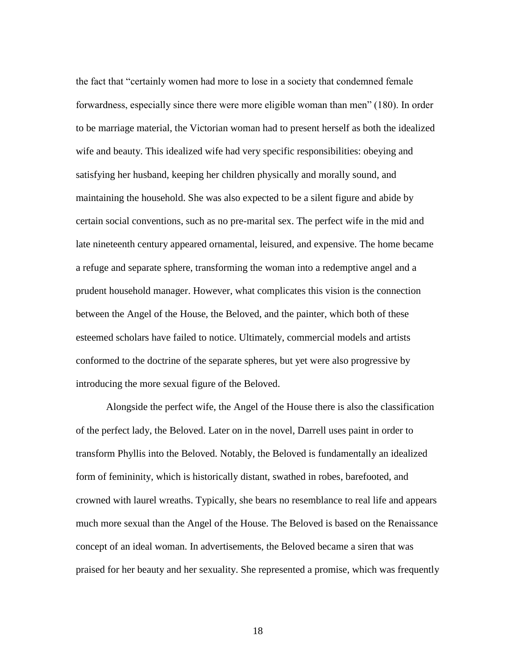the fact that "certainly women had more to lose in a society that condemned female forwardness, especially since there were more eligible woman than men" (180). In order to be marriage material, the Victorian woman had to present herself as both the idealized wife and beauty. This idealized wife had very specific responsibilities: obeying and satisfying her husband, keeping her children physically and morally sound, and maintaining the household. She was also expected to be a silent figure and abide by certain social conventions, such as no pre-marital sex. The perfect wife in the mid and late nineteenth century appeared ornamental, leisured, and expensive. The home became a refuge and separate sphere, transforming the woman into a redemptive angel and a prudent household manager. However, what complicates this vision is the connection between the Angel of the House, the Beloved, and the painter, which both of these esteemed scholars have failed to notice. Ultimately, commercial models and artists conformed to the doctrine of the separate spheres, but yet were also progressive by introducing the more sexual figure of the Beloved.

Alongside the perfect wife, the Angel of the House there is also the classification of the perfect lady, the Beloved. Later on in the novel, Darrell uses paint in order to transform Phyllis into the Beloved. Notably, the Beloved is fundamentally an idealized form of femininity, which is historically distant, swathed in robes, barefooted, and crowned with laurel wreaths. Typically, she bears no resemblance to real life and appears much more sexual than the Angel of the House. The Beloved is based on the Renaissance concept of an ideal woman. In advertisements, the Beloved became a siren that was praised for her beauty and her sexuality. She represented a promise, which was frequently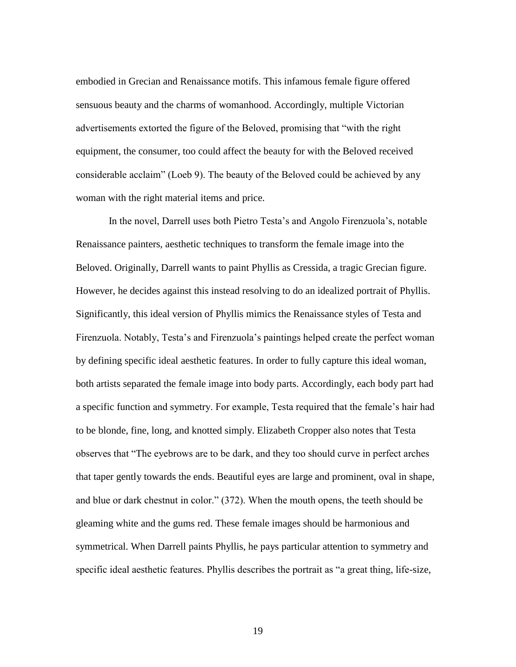embodied in Grecian and Renaissance motifs. This infamous female figure offered sensuous beauty and the charms of womanhood. Accordingly, multiple Victorian advertisements extorted the figure of the Beloved, promising that "with the right equipment, the consumer, too could affect the beauty for with the Beloved received considerable acclaim" (Loeb 9). The beauty of the Beloved could be achieved by any woman with the right material items and price.

In the novel, Darrell uses both Pietro Testa's and Angolo Firenzuola's, notable Renaissance painters, aesthetic techniques to transform the female image into the Beloved. Originally, Darrell wants to paint Phyllis as Cressida, a tragic Grecian figure. However, he decides against this instead resolving to do an idealized portrait of Phyllis. Significantly, this ideal version of Phyllis mimics the Renaissance styles of Testa and Firenzuola. Notably, Testa's and Firenzuola's paintings helped create the perfect woman by defining specific ideal aesthetic features. In order to fully capture this ideal woman, both artists separated the female image into body parts. Accordingly, each body part had a specific function and symmetry. For example, Testa required that the female's hair had to be blonde, fine, long, and knotted simply. Elizabeth Cropper also notes that Testa observes that "The eyebrows are to be dark, and they too should curve in perfect arches that taper gently towards the ends. Beautiful eyes are large and prominent, oval in shape, and blue or dark chestnut in color." (372). When the mouth opens, the teeth should be gleaming white and the gums red. These female images should be harmonious and symmetrical. When Darrell paints Phyllis, he pays particular attention to symmetry and specific ideal aesthetic features. Phyllis describes the portrait as "a great thing, life-size,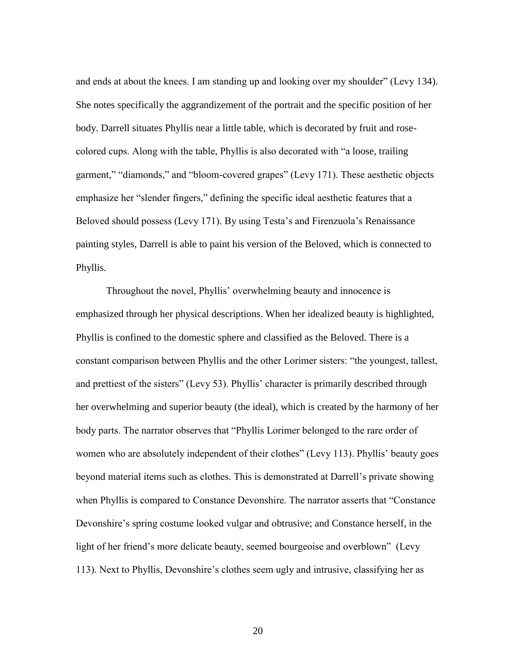and ends at about the knees. I am standing up and looking over my shoulder" (Levy 134). She notes specifically the aggrandizement of the portrait and the specific position of her body. Darrell situates Phyllis near a little table, which is decorated by fruit and rosecolored cups. Along with the table, Phyllis is also decorated with "a loose, trailing garment," "diamonds," and "bloom-covered grapes" (Levy 171). These aesthetic objects emphasize her "slender fingers," defining the specific ideal aesthetic features that a Beloved should possess (Levy 171). By using Testa's and Firenzuola's Renaissance painting styles, Darrell is able to paint his version of the Beloved, which is connected to Phyllis.

Throughout the novel, Phyllis' overwhelming beauty and innocence is emphasized through her physical descriptions. When her idealized beauty is highlighted, Phyllis is confined to the domestic sphere and classified as the Beloved. There is a constant comparison between Phyllis and the other Lorimer sisters: "the youngest, tallest, and prettiest of the sisters" (Levy 53). Phyllis' character is primarily described through her overwhelming and superior beauty (the ideal), which is created by the harmony of her body parts. The narrator observes that "Phyllis Lorimer belonged to the rare order of women who are absolutely independent of their clothes" (Levy 113). Phyllis' beauty goes beyond material items such as clothes. This is demonstrated at Darrell's private showing when Phyllis is compared to Constance Devonshire. The narrator asserts that "Constance Devonshire's spring costume looked vulgar and obtrusive; and Constance herself, in the light of her friend's more delicate beauty, seemed bourgeoise and overblown" (Levy 113). Next to Phyllis, Devonshire's clothes seem ugly and intrusive, classifying her as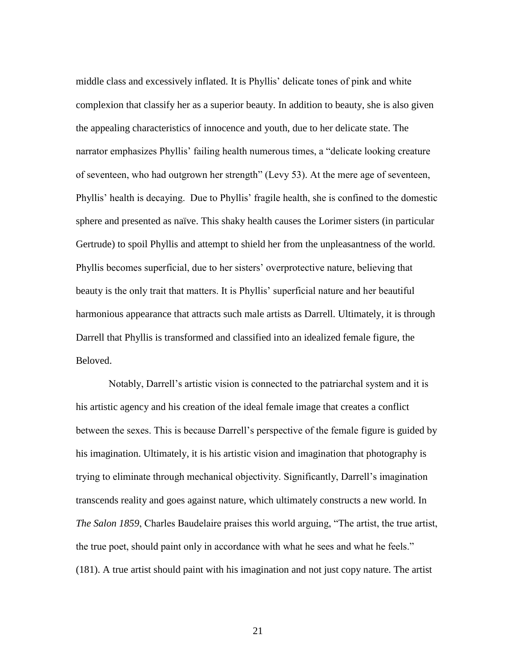middle class and excessively inflated. It is Phyllis' delicate tones of pink and white complexion that classify her as a superior beauty. In addition to beauty, she is also given the appealing characteristics of innocence and youth, due to her delicate state. The narrator emphasizes Phyllis' failing health numerous times, a "delicate looking creature of seventeen, who had outgrown her strength" (Levy 53). At the mere age of seventeen, Phyllis' health is decaying. Due to Phyllis' fragile health, she is confined to the domestic sphere and presented as naïve. This shaky health causes the Lorimer sisters (in particular Gertrude) to spoil Phyllis and attempt to shield her from the unpleasantness of the world. Phyllis becomes superficial, due to her sisters' overprotective nature, believing that beauty is the only trait that matters. It is Phyllis' superficial nature and her beautiful harmonious appearance that attracts such male artists as Darrell. Ultimately, it is through Darrell that Phyllis is transformed and classified into an idealized female figure, the Beloved.

Notably, Darrell's artistic vision is connected to the patriarchal system and it is his artistic agency and his creation of the ideal female image that creates a conflict between the sexes. This is because Darrell's perspective of the female figure is guided by his imagination. Ultimately, it is his artistic vision and imagination that photography is trying to eliminate through mechanical objectivity. Significantly, Darrell's imagination transcends reality and goes against nature, which ultimately constructs a new world. In *The Salon 1859*, Charles Baudelaire praises this world arguing, "The artist, the true artist, the true poet, should paint only in accordance with what he sees and what he feels." (181). A true artist should paint with his imagination and not just copy nature. The artist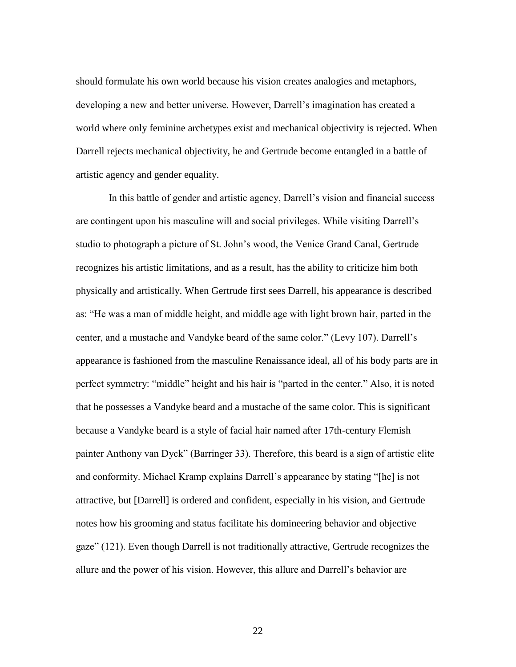should formulate his own world because his vision creates analogies and metaphors, developing a new and better universe. However, Darrell's imagination has created a world where only feminine archetypes exist and mechanical objectivity is rejected. When Darrell rejects mechanical objectivity, he and Gertrude become entangled in a battle of artistic agency and gender equality.

In this battle of gender and artistic agency, Darrell's vision and financial success are contingent upon his masculine will and social privileges. While visiting Darrell's studio to photograph a picture of St. John's wood, the Venice Grand Canal, Gertrude recognizes his artistic limitations, and as a result, has the ability to criticize him both physically and artistically. When Gertrude first sees Darrell, his appearance is described as: "He was a man of middle height, and middle age with light brown hair, parted in the center, and a mustache and Vandyke beard of the same color." (Levy 107). Darrell's appearance is fashioned from the masculine Renaissance ideal, all of his body parts are in perfect symmetry: "middle" height and his hair is "parted in the center." Also, it is noted that he possesses a Vandyke beard and a mustache of the same color. This is significant because a Vandyke beard is a style of facial hair named after 17th-century Flemish painter Anthony van Dyck" (Barringer 33). Therefore, this beard is a sign of artistic elite and conformity. Michael Kramp explains Darrell's appearance by stating "[he] is not attractive, but [Darrell] is ordered and confident, especially in his vision, and Gertrude notes how his grooming and status facilitate his domineering behavior and objective gaze" (121). Even though Darrell is not traditionally attractive, Gertrude recognizes the allure and the power of his vision. However, this allure and Darrell's behavior are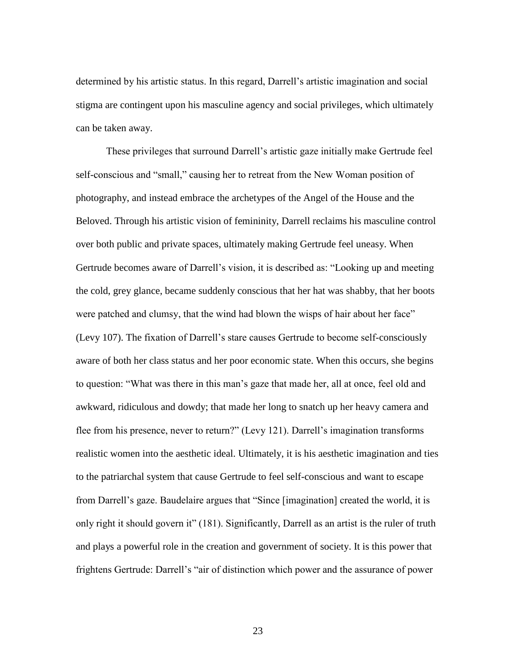determined by his artistic status. In this regard, Darrell's artistic imagination and social stigma are contingent upon his masculine agency and social privileges, which ultimately can be taken away.

These privileges that surround Darrell's artistic gaze initially make Gertrude feel self-conscious and "small," causing her to retreat from the New Woman position of photography, and instead embrace the archetypes of the Angel of the House and the Beloved. Through his artistic vision of femininity, Darrell reclaims his masculine control over both public and private spaces, ultimately making Gertrude feel uneasy. When Gertrude becomes aware of Darrell's vision, it is described as: "Looking up and meeting the cold, grey glance, became suddenly conscious that her hat was shabby, that her boots were patched and clumsy, that the wind had blown the wisps of hair about her face" (Levy 107). The fixation of Darrell's stare causes Gertrude to become self-consciously aware of both her class status and her poor economic state. When this occurs, she begins to question: "What was there in this man's gaze that made her, all at once, feel old and awkward, ridiculous and dowdy; that made her long to snatch up her heavy camera and flee from his presence, never to return?" (Levy 121). Darrell's imagination transforms realistic women into the aesthetic ideal. Ultimately, it is his aesthetic imagination and ties to the patriarchal system that cause Gertrude to feel self-conscious and want to escape from Darrell's gaze. Baudelaire argues that "Since [imagination] created the world, it is only right it should govern it" (181). Significantly, Darrell as an artist is the ruler of truth and plays a powerful role in the creation and government of society. It is this power that frightens Gertrude: Darrell's "air of distinction which power and the assurance of power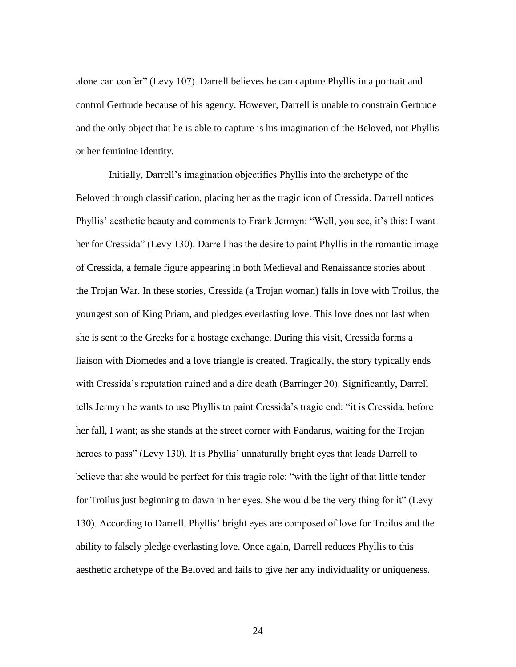alone can confer" (Levy 107). Darrell believes he can capture Phyllis in a portrait and control Gertrude because of his agency. However, Darrell is unable to constrain Gertrude and the only object that he is able to capture is his imagination of the Beloved, not Phyllis or her feminine identity.

Initially, Darrell's imagination objectifies Phyllis into the archetype of the Beloved through classification, placing her as the tragic icon of Cressida. Darrell notices Phyllis' aesthetic beauty and comments to Frank Jermyn: "Well, you see, it's this: I want her for Cressida" (Levy 130). Darrell has the desire to paint Phyllis in the romantic image of Cressida, a female figure appearing in both Medieval and Renaissance stories about the Trojan War. In these stories, Cressida (a Trojan woman) falls in love with Troilus, the youngest son of King Priam, and pledges everlasting love. This love does not last when she is sent to the Greeks for a hostage exchange. During this visit, Cressida forms a liaison with Diomedes and a love triangle is created. Tragically, the story typically ends with Cressida's reputation ruined and a dire death (Barringer 20). Significantly, Darrell tells Jermyn he wants to use Phyllis to paint Cressida's tragic end: "it is Cressida, before her fall, I want; as she stands at the street corner with Pandarus, waiting for the Trojan heroes to pass" (Levy 130). It is Phyllis' unnaturally bright eyes that leads Darrell to believe that she would be perfect for this tragic role: "with the light of that little tender for Troilus just beginning to dawn in her eyes. She would be the very thing for it" (Levy 130). According to Darrell, Phyllis' bright eyes are composed of love for Troilus and the ability to falsely pledge everlasting love. Once again, Darrell reduces Phyllis to this aesthetic archetype of the Beloved and fails to give her any individuality or uniqueness.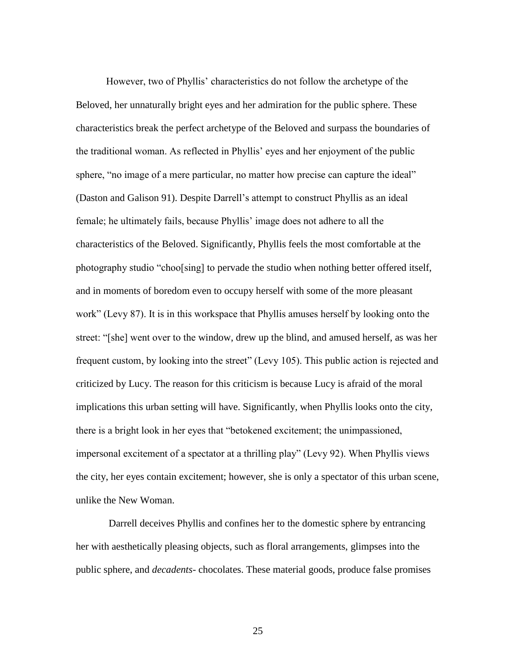However, two of Phyllis' characteristics do not follow the archetype of the Beloved, her unnaturally bright eyes and her admiration for the public sphere. These characteristics break the perfect archetype of the Beloved and surpass the boundaries of the traditional woman. As reflected in Phyllis' eyes and her enjoyment of the public sphere, "no image of a mere particular, no matter how precise can capture the ideal" (Daston and Galison 91). Despite Darrell's attempt to construct Phyllis as an ideal female; he ultimately fails, because Phyllis' image does not adhere to all the characteristics of the Beloved. Significantly, Phyllis feels the most comfortable at the photography studio "choo[sing] to pervade the studio when nothing better offered itself, and in moments of boredom even to occupy herself with some of the more pleasant work" (Levy 87). It is in this workspace that Phyllis amuses herself by looking onto the street: "[she] went over to the window, drew up the blind, and amused herself, as was her frequent custom, by looking into the street" (Levy 105). This public action is rejected and criticized by Lucy. The reason for this criticism is because Lucy is afraid of the moral implications this urban setting will have. Significantly, when Phyllis looks onto the city, there is a bright look in her eyes that "betokened excitement; the unimpassioned, impersonal excitement of a spectator at a thrilling play" (Levy 92). When Phyllis views the city, her eyes contain excitement; however, she is only a spectator of this urban scene, unlike the New Woman.

Darrell deceives Phyllis and confines her to the domestic sphere by entrancing her with aesthetically pleasing objects, such as floral arrangements, glimpses into the public sphere, and *decadents*- chocolates. These material goods, produce false promises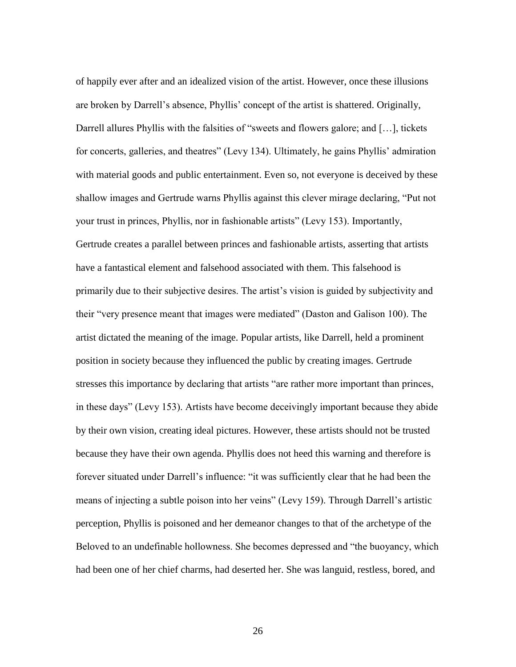of happily ever after and an idealized vision of the artist. However, once these illusions are broken by Darrell's absence, Phyllis' concept of the artist is shattered. Originally, Darrell allures Phyllis with the falsities of "sweets and flowers galore; and [...], tickets for concerts, galleries, and theatres" (Levy 134). Ultimately, he gains Phyllis' admiration with material goods and public entertainment. Even so, not everyone is deceived by these shallow images and Gertrude warns Phyllis against this clever mirage declaring, "Put not your trust in princes, Phyllis, nor in fashionable artists" (Levy 153). Importantly, Gertrude creates a parallel between princes and fashionable artists, asserting that artists have a fantastical element and falsehood associated with them. This falsehood is primarily due to their subjective desires. The artist's vision is guided by subjectivity and their "very presence meant that images were mediated" (Daston and Galison 100). The artist dictated the meaning of the image. Popular artists, like Darrell, held a prominent position in society because they influenced the public by creating images. Gertrude stresses this importance by declaring that artists "are rather more important than princes, in these days" (Levy 153). Artists have become deceivingly important because they abide by their own vision, creating ideal pictures. However, these artists should not be trusted because they have their own agenda. Phyllis does not heed this warning and therefore is forever situated under Darrell's influence: "it was sufficiently clear that he had been the means of injecting a subtle poison into her veins" (Levy 159). Through Darrell's artistic perception, Phyllis is poisoned and her demeanor changes to that of the archetype of the Beloved to an undefinable hollowness. She becomes depressed and "the buoyancy, which had been one of her chief charms, had deserted her. She was languid, restless, bored, and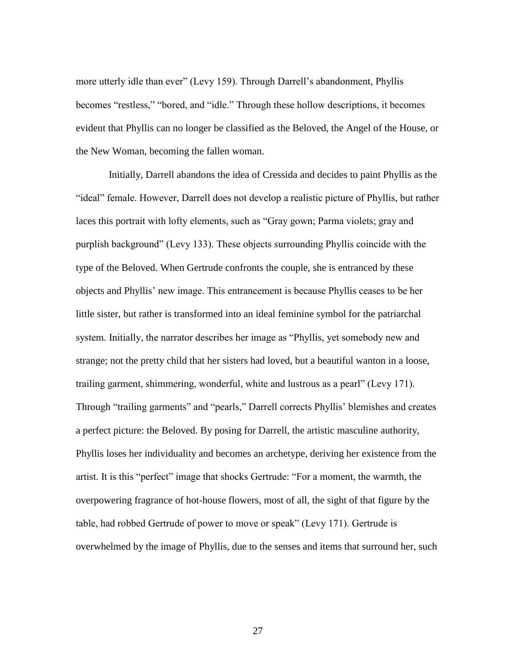more utterly idle than ever" (Levy 159). Through Darrell's abandonment, Phyllis becomes "restless," "bored, and "idle." Through these hollow descriptions, it becomes evident that Phyllis can no longer be classified as the Beloved, the Angel of the House, or the New Woman, becoming the fallen woman.

Initially, Darrell abandons the idea of Cressida and decides to paint Phyllis as the "ideal" female. However, Darrell does not develop a realistic picture of Phyllis, but rather laces this portrait with lofty elements, such as "Gray gown; Parma violets; gray and purplish background" (Levy 133). These objects surrounding Phyllis coincide with the type of the Beloved. When Gertrude confronts the couple, she is entranced by these objects and Phyllis' new image. This entrancement is because Phyllis ceases to be her little sister, but rather is transformed into an ideal feminine symbol for the patriarchal system. Initially, the narrator describes her image as "Phyllis, yet somebody new and strange; not the pretty child that her sisters had loved, but a beautiful wanton in a loose, trailing garment, shimmering, wonderful, white and lustrous as a pearl" (Levy 171). Through "trailing garments" and "pearls," Darrell corrects Phyllis' blemishes and creates a perfect picture: the Beloved. By posing for Darrell, the artistic masculine authority, Phyllis loses her individuality and becomes an archetype, deriving her existence from the artist. It is this "perfect" image that shocks Gertrude: "For a moment, the warmth, the overpowering fragrance of hot-house flowers, most of all, the sight of that figure by the table, had robbed Gertrude of power to move or speak" (Levy 171). Gertrude is overwhelmed by the image of Phyllis, due to the senses and items that surround her, such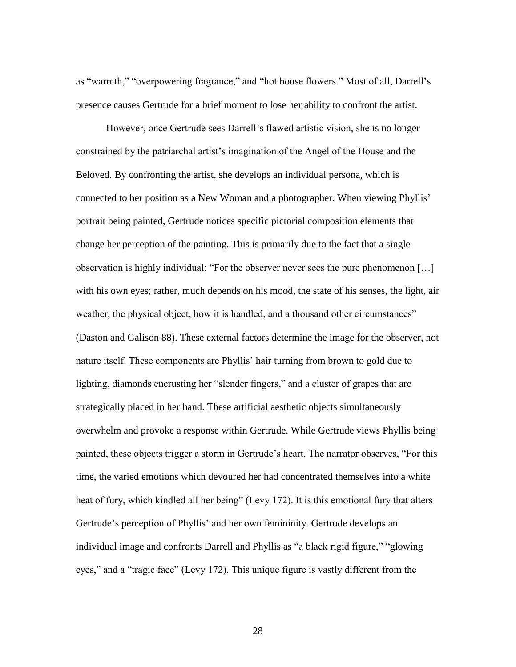as "warmth," "overpowering fragrance," and "hot house flowers." Most of all, Darrell's presence causes Gertrude for a brief moment to lose her ability to confront the artist.

However, once Gertrude sees Darrell's flawed artistic vision, she is no longer constrained by the patriarchal artist's imagination of the Angel of the House and the Beloved. By confronting the artist, she develops an individual persona, which is connected to her position as a New Woman and a photographer. When viewing Phyllis' portrait being painted, Gertrude notices specific pictorial composition elements that change her perception of the painting. This is primarily due to the fact that a single observation is highly individual: "For the observer never sees the pure phenomenon […] with his own eyes; rather, much depends on his mood, the state of his senses, the light, air weather, the physical object, how it is handled, and a thousand other circumstances" (Daston and Galison 88). These external factors determine the image for the observer, not nature itself. These components are Phyllis' hair turning from brown to gold due to lighting, diamonds encrusting her "slender fingers," and a cluster of grapes that are strategically placed in her hand. These artificial aesthetic objects simultaneously overwhelm and provoke a response within Gertrude. While Gertrude views Phyllis being painted, these objects trigger a storm in Gertrude's heart. The narrator observes, "For this time, the varied emotions which devoured her had concentrated themselves into a white heat of fury, which kindled all her being" (Levy 172). It is this emotional fury that alters Gertrude's perception of Phyllis' and her own femininity. Gertrude develops an individual image and confronts Darrell and Phyllis as "a black rigid figure," "glowing eyes," and a "tragic face" (Levy 172). This unique figure is vastly different from the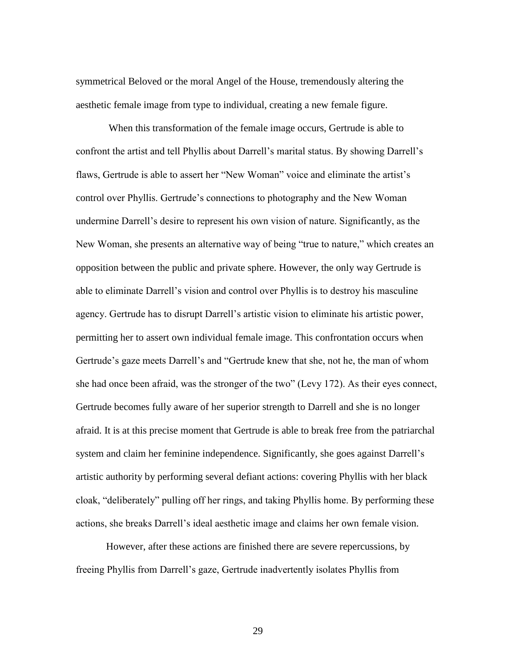symmetrical Beloved or the moral Angel of the House, tremendously altering the aesthetic female image from type to individual, creating a new female figure.

When this transformation of the female image occurs, Gertrude is able to confront the artist and tell Phyllis about Darrell's marital status. By showing Darrell's flaws, Gertrude is able to assert her "New Woman" voice and eliminate the artist's control over Phyllis. Gertrude's connections to photography and the New Woman undermine Darrell's desire to represent his own vision of nature. Significantly, as the New Woman, she presents an alternative way of being "true to nature," which creates an opposition between the public and private sphere. However, the only way Gertrude is able to eliminate Darrell's vision and control over Phyllis is to destroy his masculine agency. Gertrude has to disrupt Darrell's artistic vision to eliminate his artistic power, permitting her to assert own individual female image. This confrontation occurs when Gertrude's gaze meets Darrell's and "Gertrude knew that she, not he, the man of whom she had once been afraid, was the stronger of the two" (Levy 172). As their eyes connect, Gertrude becomes fully aware of her superior strength to Darrell and she is no longer afraid. It is at this precise moment that Gertrude is able to break free from the patriarchal system and claim her feminine independence. Significantly, she goes against Darrell's artistic authority by performing several defiant actions: covering Phyllis with her black cloak, "deliberately" pulling off her rings, and taking Phyllis home. By performing these actions, she breaks Darrell's ideal aesthetic image and claims her own female vision.

However, after these actions are finished there are severe repercussions, by freeing Phyllis from Darrell's gaze, Gertrude inadvertently isolates Phyllis from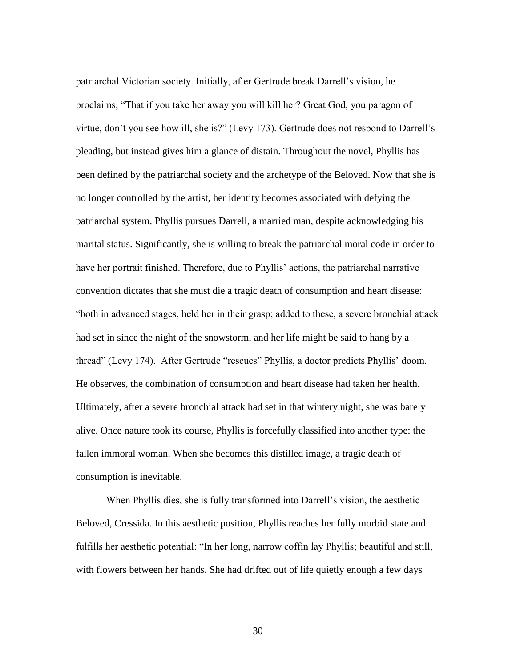patriarchal Victorian society. Initially, after Gertrude break Darrell's vision, he proclaims, "That if you take her away you will kill her? Great God, you paragon of virtue, don't you see how ill, she is?" (Levy 173). Gertrude does not respond to Darrell's pleading, but instead gives him a glance of distain. Throughout the novel, Phyllis has been defined by the patriarchal society and the archetype of the Beloved. Now that she is no longer controlled by the artist, her identity becomes associated with defying the patriarchal system. Phyllis pursues Darrell, a married man, despite acknowledging his marital status. Significantly, she is willing to break the patriarchal moral code in order to have her portrait finished. Therefore, due to Phyllis' actions, the patriarchal narrative convention dictates that she must die a tragic death of consumption and heart disease: "both in advanced stages, held her in their grasp; added to these, a severe bronchial attack had set in since the night of the snowstorm, and her life might be said to hang by a thread" (Levy 174). After Gertrude "rescues" Phyllis, a doctor predicts Phyllis' doom. He observes, the combination of consumption and heart disease had taken her health. Ultimately, after a severe bronchial attack had set in that wintery night, she was barely alive. Once nature took its course, Phyllis is forcefully classified into another type: the fallen immoral woman. When she becomes this distilled image, a tragic death of consumption is inevitable.

When Phyllis dies, she is fully transformed into Darrell's vision, the aesthetic Beloved, Cressida. In this aesthetic position, Phyllis reaches her fully morbid state and fulfills her aesthetic potential: "In her long, narrow coffin lay Phyllis; beautiful and still, with flowers between her hands. She had drifted out of life quietly enough a few days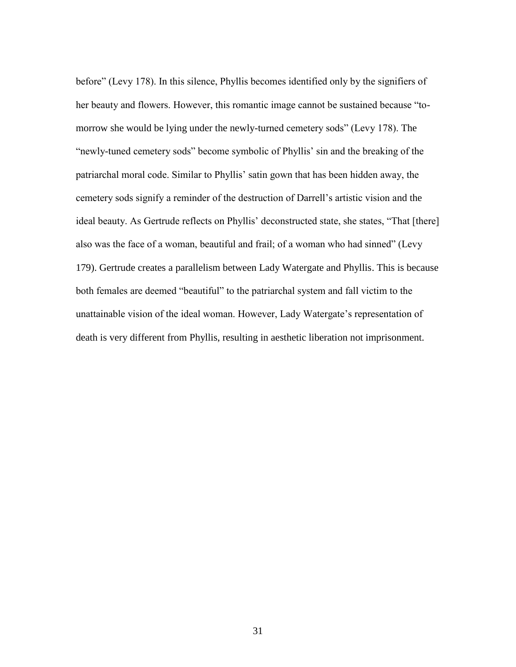before" (Levy 178). In this silence, Phyllis becomes identified only by the signifiers of her beauty and flowers. However, this romantic image cannot be sustained because "tomorrow she would be lying under the newly-turned cemetery sods" (Levy 178). The "newly-tuned cemetery sods" become symbolic of Phyllis' sin and the breaking of the patriarchal moral code. Similar to Phyllis' satin gown that has been hidden away, the cemetery sods signify a reminder of the destruction of Darrell's artistic vision and the ideal beauty. As Gertrude reflects on Phyllis' deconstructed state, she states, "That [there] also was the face of a woman, beautiful and frail; of a woman who had sinned" (Levy 179). Gertrude creates a parallelism between Lady Watergate and Phyllis. This is because both females are deemed "beautiful" to the patriarchal system and fall victim to the unattainable vision of the ideal woman. However, Lady Watergate's representation of death is very different from Phyllis, resulting in aesthetic liberation not imprisonment.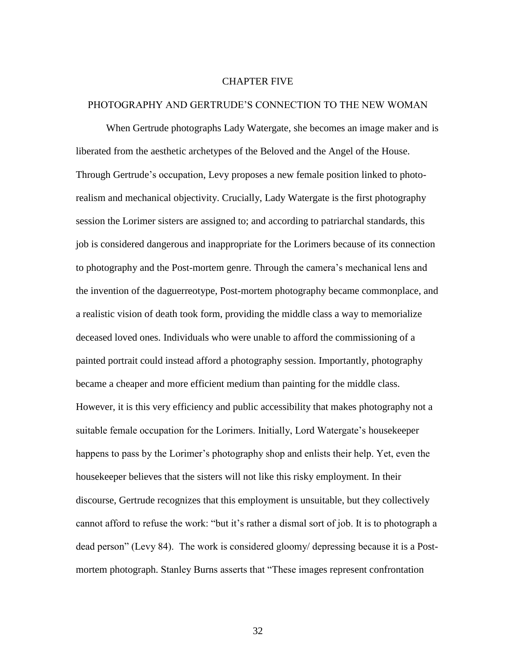#### CHAPTER FIVE

#### PHOTOGRAPHY AND GERTRUDE'S CONNECTION TO THE NEW WOMAN

When Gertrude photographs Lady Watergate, she becomes an image maker and is liberated from the aesthetic archetypes of the Beloved and the Angel of the House. Through Gertrude's occupation, Levy proposes a new female position linked to photorealism and mechanical objectivity. Crucially, Lady Watergate is the first photography session the Lorimer sisters are assigned to; and according to patriarchal standards, this job is considered dangerous and inappropriate for the Lorimers because of its connection to photography and the Post-mortem genre. Through the camera's mechanical lens and the invention of the daguerreotype, Post-mortem photography became commonplace, and a realistic vision of death took form, providing the middle class a way to memorialize deceased loved ones. Individuals who were unable to afford the commissioning of a painted portrait could instead afford a photography session. Importantly, photography became a cheaper and more efficient medium than painting for the middle class. However, it is this very efficiency and public accessibility that makes photography not a suitable female occupation for the Lorimers. Initially, Lord Watergate's housekeeper happens to pass by the Lorimer's photography shop and enlists their help. Yet, even the housekeeper believes that the sisters will not like this risky employment. In their discourse, Gertrude recognizes that this employment is unsuitable, but they collectively cannot afford to refuse the work: "but it's rather a dismal sort of job. It is to photograph a dead person" (Levy 84). The work is considered gloomy/ depressing because it is a Postmortem photograph. Stanley Burns asserts that "These images represent confrontation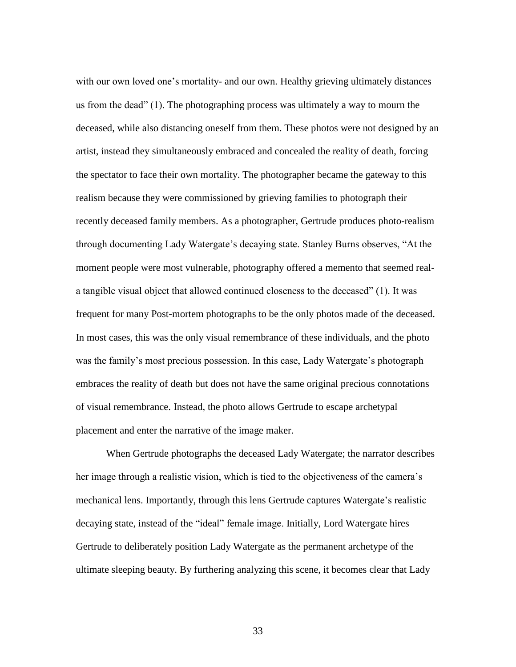with our own loved one's mortality- and our own. Healthy grieving ultimately distances us from the dead" (1). The photographing process was ultimately a way to mourn the deceased, while also distancing oneself from them. These photos were not designed by an artist, instead they simultaneously embraced and concealed the reality of death, forcing the spectator to face their own mortality. The photographer became the gateway to this realism because they were commissioned by grieving families to photograph their recently deceased family members. As a photographer, Gertrude produces photo-realism through documenting Lady Watergate's decaying state. Stanley Burns observes, "At the moment people were most vulnerable, photography offered a memento that seemed reala tangible visual object that allowed continued closeness to the deceased" (1). It was frequent for many Post-mortem photographs to be the only photos made of the deceased. In most cases, this was the only visual remembrance of these individuals, and the photo was the family's most precious possession. In this case, Lady Watergate's photograph embraces the reality of death but does not have the same original precious connotations of visual remembrance. Instead, the photo allows Gertrude to escape archetypal placement and enter the narrative of the image maker.

When Gertrude photographs the deceased Lady Watergate; the narrator describes her image through a realistic vision, which is tied to the objectiveness of the camera's mechanical lens. Importantly, through this lens Gertrude captures Watergate's realistic decaying state, instead of the "ideal" female image. Initially, Lord Watergate hires Gertrude to deliberately position Lady Watergate as the permanent archetype of the ultimate sleeping beauty. By furthering analyzing this scene, it becomes clear that Lady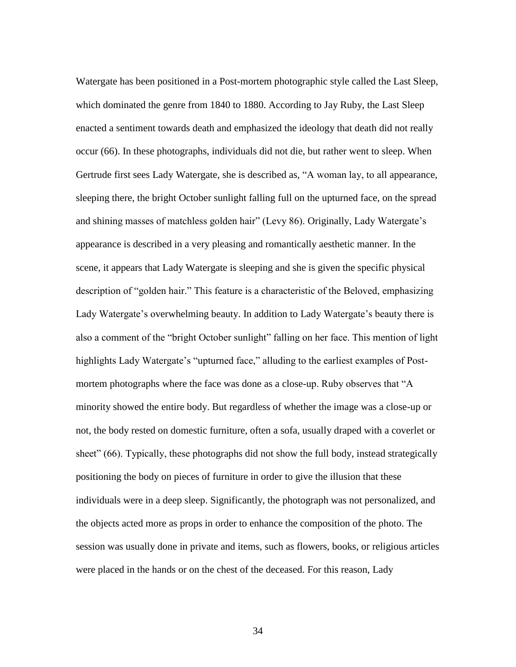Watergate has been positioned in a Post-mortem photographic style called the Last Sleep, which dominated the genre from 1840 to 1880. According to Jay Ruby, the Last Sleep enacted a sentiment towards death and emphasized the ideology that death did not really occur (66). In these photographs, individuals did not die, but rather went to sleep. When Gertrude first sees Lady Watergate, she is described as, "A woman lay, to all appearance, sleeping there, the bright October sunlight falling full on the upturned face, on the spread and shining masses of matchless golden hair" (Levy 86). Originally, Lady Watergate's appearance is described in a very pleasing and romantically aesthetic manner. In the scene, it appears that Lady Watergate is sleeping and she is given the specific physical description of "golden hair." This feature is a characteristic of the Beloved, emphasizing Lady Watergate's overwhelming beauty. In addition to Lady Watergate's beauty there is also a comment of the "bright October sunlight" falling on her face. This mention of light highlights Lady Watergate's "upturned face," alluding to the earliest examples of Postmortem photographs where the face was done as a close-up. Ruby observes that "A minority showed the entire body. But regardless of whether the image was a close-up or not, the body rested on domestic furniture, often a sofa, usually draped with a coverlet or sheet" (66). Typically, these photographs did not show the full body, instead strategically positioning the body on pieces of furniture in order to give the illusion that these individuals were in a deep sleep. Significantly, the photograph was not personalized, and the objects acted more as props in order to enhance the composition of the photo. The session was usually done in private and items, such as flowers, books, or religious articles were placed in the hands or on the chest of the deceased. For this reason, Lady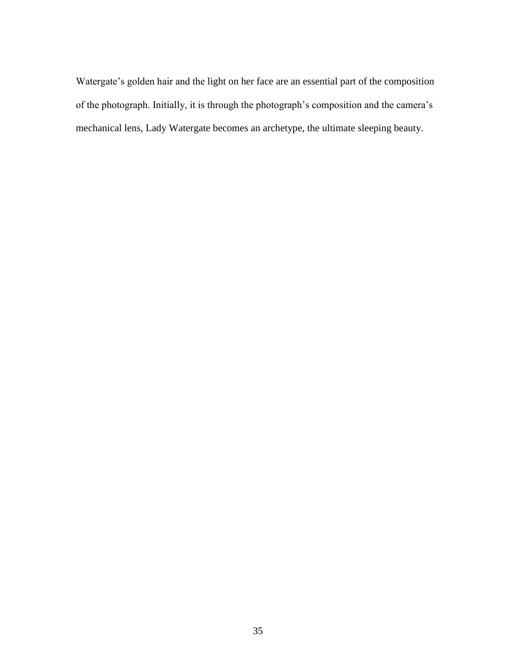Watergate's golden hair and the light on her face are an essential part of the composition of the photograph. Initially, it is through the photograph's composition and the camera's mechanical lens, Lady Watergate becomes an archetype, the ultimate sleeping beauty.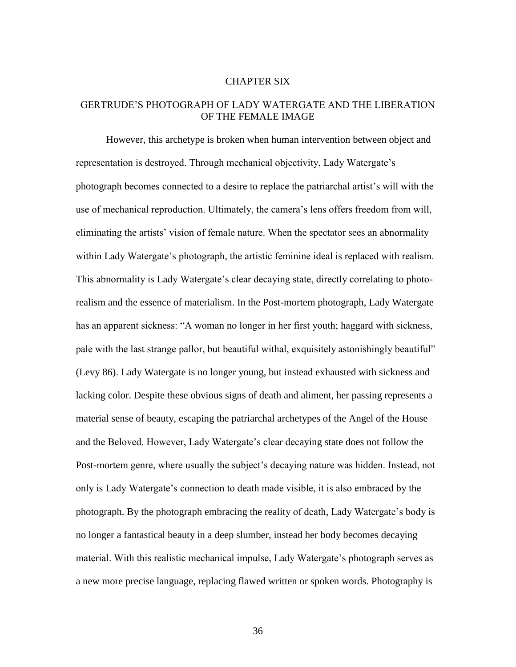#### CHAPTER SIX

## GERTRUDE'S PHOTOGRAPH OF LADY WATERGATE AND THE LIBERATION OF THE FEMALE IMAGE

However, this archetype is broken when human intervention between object and representation is destroyed. Through mechanical objectivity, Lady Watergate's photograph becomes connected to a desire to replace the patriarchal artist's will with the use of mechanical reproduction. Ultimately, the camera's lens offers freedom from will, eliminating the artists' vision of female nature. When the spectator sees an abnormality within Lady Watergate's photograph, the artistic feminine ideal is replaced with realism. This abnormality is Lady Watergate's clear decaying state, directly correlating to photorealism and the essence of materialism. In the Post-mortem photograph, Lady Watergate has an apparent sickness: "A woman no longer in her first youth; haggard with sickness, pale with the last strange pallor, but beautiful withal, exquisitely astonishingly beautiful" (Levy 86). Lady Watergate is no longer young, but instead exhausted with sickness and lacking color. Despite these obvious signs of death and aliment, her passing represents a material sense of beauty, escaping the patriarchal archetypes of the Angel of the House and the Beloved. However, Lady Watergate's clear decaying state does not follow the Post-mortem genre, where usually the subject's decaying nature was hidden. Instead, not only is Lady Watergate's connection to death made visible, it is also embraced by the photograph. By the photograph embracing the reality of death, Lady Watergate's body is no longer a fantastical beauty in a deep slumber, instead her body becomes decaying material. With this realistic mechanical impulse, Lady Watergate's photograph serves as a new more precise language, replacing flawed written or spoken words. Photography is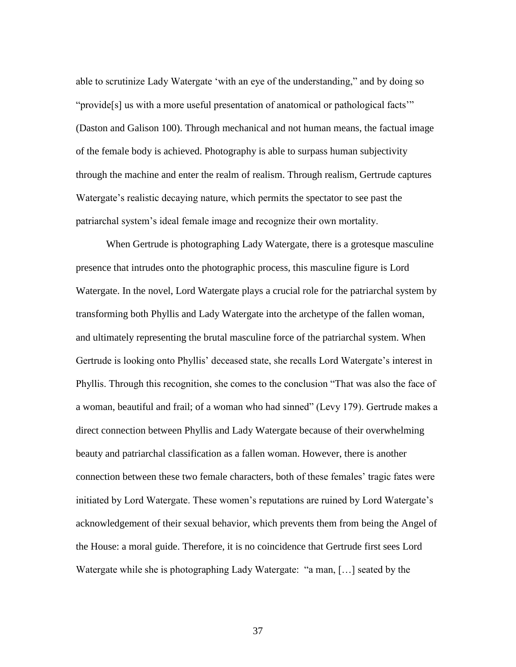able to scrutinize Lady Watergate 'with an eye of the understanding," and by doing so "provide[s] us with a more useful presentation of anatomical or pathological facts'" (Daston and Galison 100). Through mechanical and not human means, the factual image of the female body is achieved. Photography is able to surpass human subjectivity through the machine and enter the realm of realism. Through realism, Gertrude captures Watergate's realistic decaying nature, which permits the spectator to see past the patriarchal system's ideal female image and recognize their own mortality.

When Gertrude is photographing Lady Watergate, there is a grotesque masculine presence that intrudes onto the photographic process, this masculine figure is Lord Watergate. In the novel, Lord Watergate plays a crucial role for the patriarchal system by transforming both Phyllis and Lady Watergate into the archetype of the fallen woman, and ultimately representing the brutal masculine force of the patriarchal system. When Gertrude is looking onto Phyllis' deceased state, she recalls Lord Watergate's interest in Phyllis. Through this recognition, she comes to the conclusion "That was also the face of a woman, beautiful and frail; of a woman who had sinned" (Levy 179). Gertrude makes a direct connection between Phyllis and Lady Watergate because of their overwhelming beauty and patriarchal classification as a fallen woman. However, there is another connection between these two female characters, both of these females' tragic fates were initiated by Lord Watergate. These women's reputations are ruined by Lord Watergate's acknowledgement of their sexual behavior, which prevents them from being the Angel of the House: a moral guide. Therefore, it is no coincidence that Gertrude first sees Lord Watergate while she is photographing Lady Watergate: "a man, […] seated by the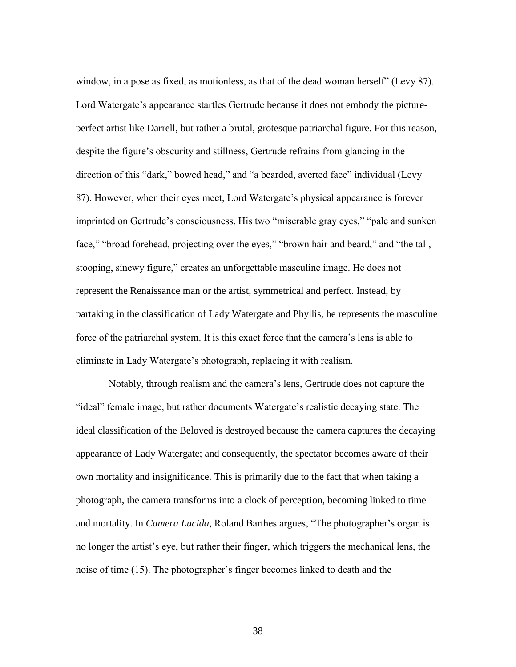window, in a pose as fixed, as motionless, as that of the dead woman herself" (Levy 87). Lord Watergate's appearance startles Gertrude because it does not embody the pictureperfect artist like Darrell, but rather a brutal, grotesque patriarchal figure. For this reason, despite the figure's obscurity and stillness, Gertrude refrains from glancing in the direction of this "dark," bowed head," and "a bearded, averted face" individual (Levy 87). However, when their eyes meet, Lord Watergate's physical appearance is forever imprinted on Gertrude's consciousness. His two "miserable gray eyes," "pale and sunken face," "broad forehead, projecting over the eyes," "brown hair and beard," and "the tall, stooping, sinewy figure," creates an unforgettable masculine image. He does not represent the Renaissance man or the artist, symmetrical and perfect. Instead, by partaking in the classification of Lady Watergate and Phyllis, he represents the masculine force of the patriarchal system. It is this exact force that the camera's lens is able to eliminate in Lady Watergate's photograph, replacing it with realism.

Notably, through realism and the camera's lens, Gertrude does not capture the "ideal" female image, but rather documents Watergate's realistic decaying state. The ideal classification of the Beloved is destroyed because the camera captures the decaying appearance of Lady Watergate; and consequently, the spectator becomes aware of their own mortality and insignificance. This is primarily due to the fact that when taking a photograph, the camera transforms into a clock of perception, becoming linked to time and mortality. In *Camera Lucida,* Roland Barthes argues, "The photographer's organ is no longer the artist's eye, but rather their finger, which triggers the mechanical lens, the noise of time (15). The photographer's finger becomes linked to death and the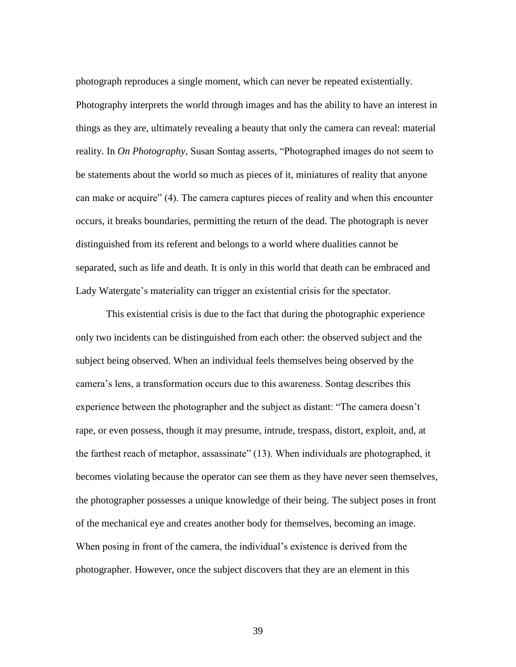photograph reproduces a single moment, which can never be repeated existentially. Photography interprets the world through images and has the ability to have an interest in things as they are, ultimately revealing a beauty that only the camera can reveal: material reality. In *On Photography*, Susan Sontag asserts, "Photographed images do not seem to be statements about the world so much as pieces of it, miniatures of reality that anyone can make or acquire" (4). The camera captures pieces of reality and when this encounter occurs, it breaks boundaries, permitting the return of the dead. The photograph is never distinguished from its referent and belongs to a world where dualities cannot be separated, such as life and death. It is only in this world that death can be embraced and Lady Watergate's materiality can trigger an existential crisis for the spectator.

This existential crisis is due to the fact that during the photographic experience only two incidents can be distinguished from each other: the observed subject and the subject being observed. When an individual feels themselves being observed by the camera's lens, a transformation occurs due to this awareness. Sontag describes this experience between the photographer and the subject as distant: "The camera doesn't rape, or even possess, though it may presume, intrude, trespass, distort, exploit, and, at the farthest reach of metaphor, assassinate" (13). When individuals are photographed, it becomes violating because the operator can see them as they have never seen themselves, the photographer possesses a unique knowledge of their being. The subject poses in front of the mechanical eye and creates another body for themselves, becoming an image. When posing in front of the camera, the individual's existence is derived from the photographer. However, once the subject discovers that they are an element in this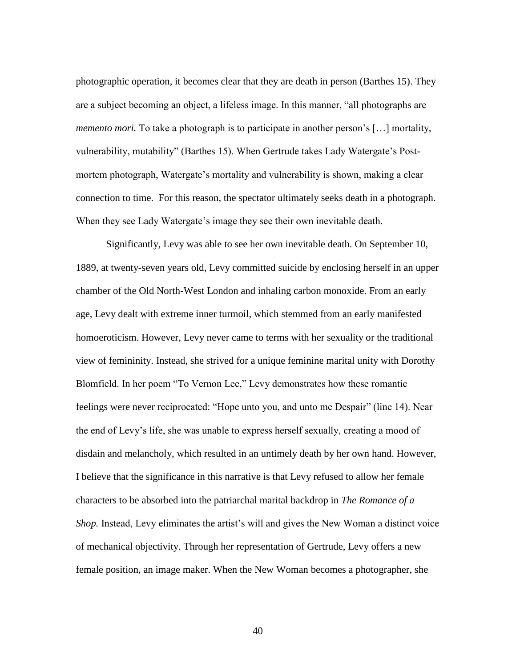photographic operation, it becomes clear that they are death in person (Barthes 15). They are a subject becoming an object, a lifeless image. In this manner, "all photographs are *memento mori*. To take a photograph is to participate in another person's [...] mortality, vulnerability, mutability" (Barthes 15). When Gertrude takes Lady Watergate's Postmortem photograph, Watergate's mortality and vulnerability is shown, making a clear connection to time. For this reason, the spectator ultimately seeks death in a photograph. When they see Lady Watergate's image they see their own inevitable death.

Significantly, Levy was able to see her own inevitable death. On September 10, 1889, at twenty-seven years old, Levy committed suicide by enclosing herself in an upper chamber of the Old North-West London and inhaling carbon monoxide. From an early age, Levy dealt with extreme inner turmoil, which stemmed from an early manifested homoeroticism. However, Levy never came to terms with her sexuality or the traditional view of femininity. Instead, she strived for a unique feminine marital unity with Dorothy Blomfield. In her poem "To Vernon Lee," Levy demonstrates how these romantic feelings were never reciprocated: "Hope unto you, and unto me Despair" (line 14). Near the end of Levy's life, she was unable to express herself sexually, creating a mood of disdain and melancholy, which resulted in an untimely death by her own hand. However, I believe that the significance in this narrative is that Levy refused to allow her female characters to be absorbed into the patriarchal marital backdrop in *The Romance of a Shop.* Instead, Levy eliminates the artist's will and gives the New Woman a distinct voice of mechanical objectivity. Through her representation of Gertrude, Levy offers a new female position, an image maker. When the New Woman becomes a photographer, she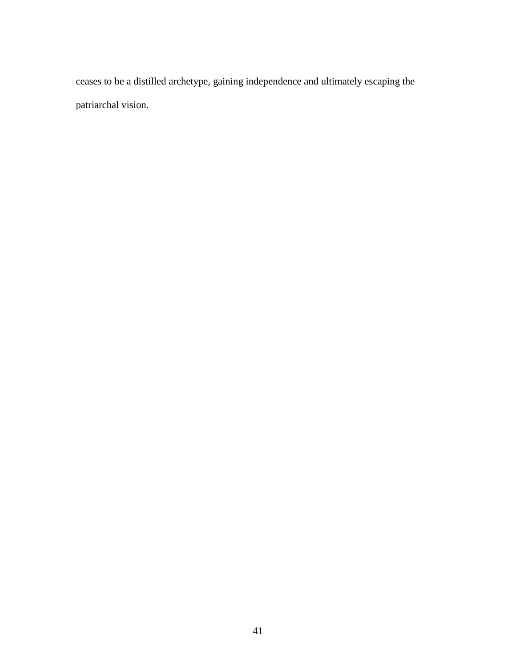ceases to be a distilled archetype, gaining independence and ultimately escaping the patriarchal vision.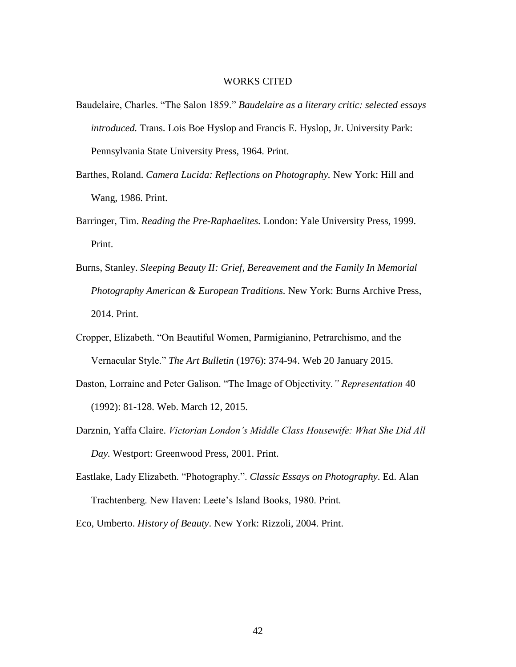#### WORKS CITED

- Baudelaire, Charles. "The Salon 1859." *Baudelaire as a literary critic: selected essays introduced.* Trans. Lois Boe Hyslop and Francis E. Hyslop, Jr. University Park: Pennsylvania State University Press, 1964. Print.
- Barthes, Roland. *Camera Lucida: Reflections on Photography.* New York: Hill and Wang, 1986. Print.
- Barringer, Tim. *Reading the Pre-Raphaelites.* London: Yale University Press, 1999. Print.
- Burns, Stanley. *Sleeping Beauty II: Grief, Bereavement and the Family In Memorial Photography American & European Traditions.* New York: Burns Archive Press, 2014. Print.
- Cropper, Elizabeth. "On Beautiful Women, Parmigianino, Petrarchismo, and the Vernacular Style." *The Art Bulletin* (1976): 374-94. Web 20 January 2015.
- Daston, Lorraine and Peter Galison. "The Image of Objectivity*." Representation* 40 (1992): 81-128. Web. March 12, 2015.
- Darznin, Yaffa Claire. *Victorian London's Middle Class Housewife: What She Did All Day.* Westport: Greenwood Press, 2001. Print.
- Eastlake, Lady Elizabeth. "Photography.". *Classic Essays on Photography*. Ed. Alan Trachtenberg. New Haven: Leete's Island Books, 1980. Print.

Eco, Umberto. *History of Beauty*. New York: Rizzoli, 2004. Print.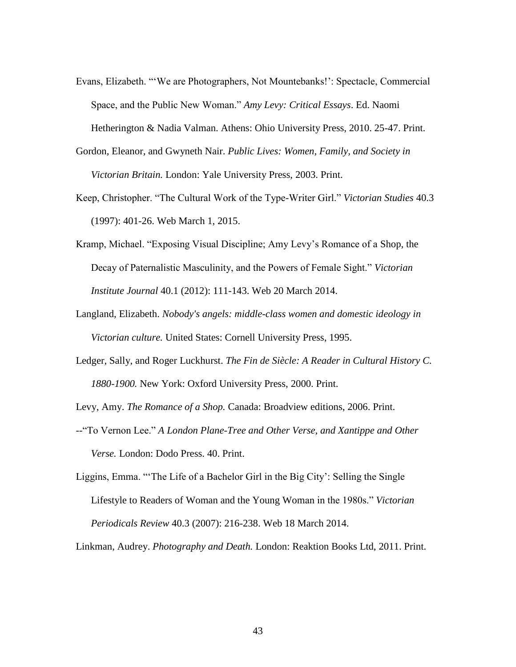- Evans, Elizabeth. "'We are Photographers, Not Mountebanks!': Spectacle, Commercial Space, and the Public New Woman." *Amy Levy: Critical Essays*. Ed. Naomi Hetherington & Nadia Valman. Athens: Ohio University Press, 2010. 25-47. Print.
- Gordon, Eleanor, and Gwyneth Nair. *Public Lives: Women, Family, and Society in Victorian Britain.* London: Yale University Press, 2003. Print.
- Keep, Christopher. "The Cultural Work of the Type-Writer Girl." *Victorian Studies* 40.3 (1997): 401-26. Web March 1, 2015.
- Kramp, Michael. "Exposing Visual Discipline; Amy Levy's Romance of a Shop, the Decay of Paternalistic Masculinity, and the Powers of Female Sight." *Victorian Institute Journal* 40.1 (2012): 111-143. Web 20 March 2014.
- Langland, Elizabeth. *Nobody's angels: middle-class women and domestic ideology in Victorian culture.* United States: Cornell University Press, 1995.
- Ledger, Sally, and Roger Luckhurst. *The Fin de Siècle: A Reader in Cultural History C. 1880-1900.* New York: Oxford University Press, 2000. Print.

Levy, Amy. *The Romance of a Shop.* Canada: Broadview editions, 2006. Print.

--"To Vernon Lee." *A London Plane-Tree and Other Verse, and Xantippe and Other Verse.* London: Dodo Press. 40. Print.

Linkman, Audrey. *Photography and Death.* London: Reaktion Books Ltd, 2011. Print.

Liggins, Emma. "'The Life of a Bachelor Girl in the Big City': Selling the Single Lifestyle to Readers of Woman and the Young Woman in the 1980s." *Victorian Periodicals Review* 40.3 (2007): 216-238. Web 18 March 2014.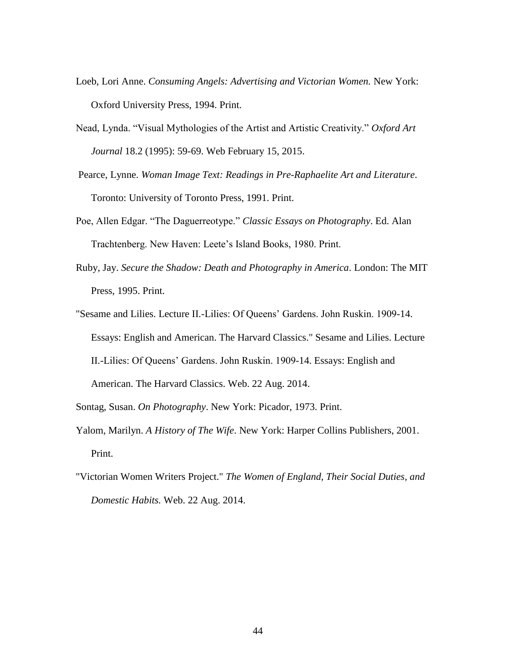- Loeb, Lori Anne. *Consuming Angels: Advertising and Victorian Women.* New York: Oxford University Press, 1994. Print.
- Nead, Lynda. "Visual Mythologies of the Artist and Artistic Creativity." *Oxford Art Journal* 18.2 (1995): 59-69. Web February 15, 2015.
- Pearce, Lynne. *Woman Image Text: Readings in Pre-Raphaelite Art and Literature*. Toronto: University of Toronto Press, 1991. Print.
- Poe, Allen Edgar. "The Daguerreotype." *Classic Essays on Photography*. Ed. Alan Trachtenberg. New Haven: Leete's Island Books, 1980. Print.
- Ruby, Jay. *Secure the Shadow: Death and Photography in America*. London: The MIT Press, 1995. Print.
- "Sesame and Lilies. Lecture II.-Lilies: Of Queens' Gardens. John Ruskin. 1909-14. Essays: English and American. The Harvard Classics." Sesame and Lilies. Lecture II.-Lilies: Of Queens' Gardens. John Ruskin. 1909-14. Essays: English and American. The Harvard Classics. Web. 22 Aug. 2014.
- Sontag, Susan. *On Photography*. New York: Picador, 1973. Print.
- Yalom, Marilyn. *A History of The Wife*. New York: Harper Collins Publishers, 2001. Print.
- "Victorian Women Writers Project." *The Women of England, Their Social Duties, and Domestic Habits.* Web. 22 Aug. 2014.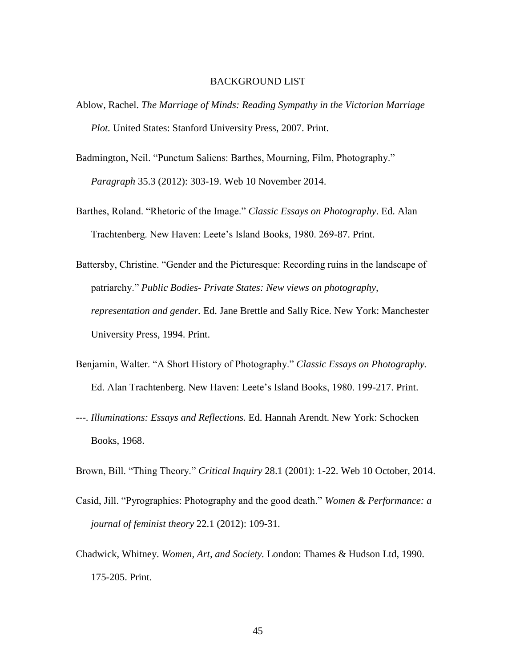#### BACKGROUND LIST

- Ablow, Rachel. *The Marriage of Minds: Reading Sympathy in the Victorian Marriage Plot.* United States: Stanford University Press, 2007. Print.
- Badmington, Neil. "Punctum Saliens: Barthes, Mourning, Film, Photography." *Paragraph* 35.3 (2012): 303-19. Web 10 November 2014.
- Barthes, Roland. "Rhetoric of the Image." *Classic Essays on Photography*. Ed. Alan Trachtenberg. New Haven: Leete's Island Books, 1980. 269-87. Print.
- Battersby, Christine. "Gender and the Picturesque: Recording ruins in the landscape of patriarchy." *Public Bodies- Private States: New views on photography, representation and gender.* Ed. Jane Brettle and Sally Rice. New York: Manchester University Press, 1994. Print.
- Benjamin, Walter. "A Short History of Photography." *Classic Essays on Photography.* Ed. Alan Trachtenberg. New Haven: Leete's Island Books, 1980. 199-217. Print.
- ---. *Illuminations: Essays and Reflections.* Ed. Hannah Arendt. New York: Schocken Books, 1968.
- Brown, Bill. "Thing Theory." *Critical Inquiry* 28.1 (2001): 1-22. Web 10 October, 2014.
- Casid, Jill. "Pyrographies: Photography and the good death." *Women & Performance: a journal of feminist theory* 22.1 (2012): 109-31.
- Chadwick, Whitney. *Women, Art, and Society.* London: Thames & Hudson Ltd, 1990. 175-205. Print.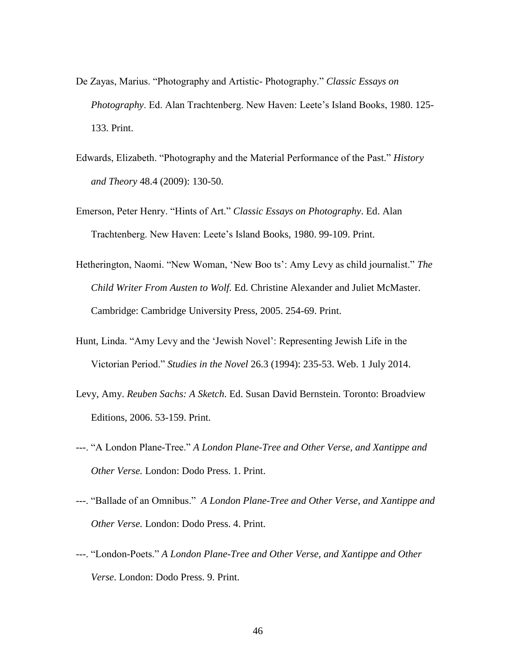- De Zayas, Marius. "Photography and Artistic- Photography." *Classic Essays on Photography*. Ed. Alan Trachtenberg. New Haven: Leete's Island Books, 1980. 125- 133. Print.
- Edwards, Elizabeth. "Photography and the Material Performance of the Past." *History and Theory* 48.4 (2009): 130-50.
- Emerson, Peter Henry. "Hints of Art." *Classic Essays on Photography*. Ed. Alan Trachtenberg. New Haven: Leete's Island Books, 1980. 99-109. Print.
- Hetherington, Naomi. "New Woman, 'New Boo ts': Amy Levy as child journalist." *The Child Writer From Austen to Wolf.* Ed. Christine Alexander and Juliet McMaster. Cambridge: Cambridge University Press, 2005. 254-69. Print.
- Hunt, Linda. "Amy Levy and the 'Jewish Novel': Representing Jewish Life in the Victorian Period." *Studies in the Novel* 26.3 (1994): 235-53. Web. 1 July 2014.
- Levy, Amy. *Reuben Sachs: A Sketch*. Ed. Susan David Bernstein. Toronto: Broadview Editions, 2006. 53-159. Print.
- ---. "A London Plane-Tree." *A London Plane-Tree and Other Verse, and Xantippe and Other Verse.* London: Dodo Press. 1. Print.
- ---. "Ballade of an Omnibus." *A London Plane-Tree and Other Verse, and Xantippe and Other Verse.* London: Dodo Press. 4. Print.
- ---. "London-Poets." *A London Plane-Tree and Other Verse, and Xantippe and Other Verse*. London: Dodo Press. 9. Print.